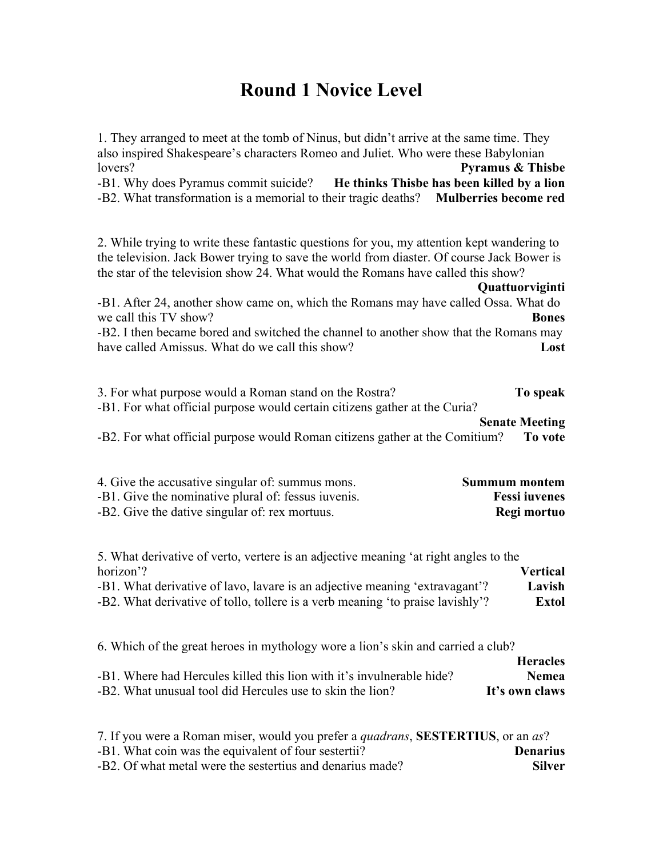# **Round 1 Novice Level**

| 1. They arranged to meet at the tomb of Ninus, but didn't arrive at the same time. They<br>also inspired Shakespeare's characters Romeo and Juliet. Who were these Babylonian<br>lovers?<br><b>Pyramus &amp; Thisbe</b><br>-B1. Why does Pyramus commit suicide? He thinks Thisbe has been killed by a lion<br>-B2. What transformation is a memorial to their tragic deaths?<br><b>Mulberries become red</b>                                                                                                                                              |                        |
|------------------------------------------------------------------------------------------------------------------------------------------------------------------------------------------------------------------------------------------------------------------------------------------------------------------------------------------------------------------------------------------------------------------------------------------------------------------------------------------------------------------------------------------------------------|------------------------|
| 2. While trying to write these fantastic questions for you, my attention kept wandering to<br>the television. Jack Bower trying to save the world from diaster. Of course Jack Bower is<br>the star of the television show 24. What would the Romans have called this show?<br>Quattuorviginti<br>-B1. After 24, another show came on, which the Romans may have called Ossa. What do<br>we call this TV show?<br>-B2. I then became bored and switched the channel to another show that the Romans may<br>have called Amissus. What do we call this show? | <b>Bones</b><br>Lost   |
| 3. For what purpose would a Roman stand on the Rostra?<br>To speak<br>-B1. For what official purpose would certain citizens gather at the Curia?<br><b>Senate Meeting</b><br>-B2. For what official purpose would Roman citizens gather at the Comitium?<br>To vote                                                                                                                                                                                                                                                                                        |                        |
| 4. Give the accusative singular of: summus mons.<br><b>Summum montem</b><br>-B1. Give the nominative plural of: fessus iuvenis.<br><b>Fessi</b> iuvenes<br>-B2. Give the dative singular of: rex mortuus.<br>Regi mortuo                                                                                                                                                                                                                                                                                                                                   |                        |
| 5. What derivative of verto, vertere is an adjective meaning 'at right angles to the<br>horizon'?<br><b>Vertical</b><br>-B1. What derivative of lavo, lavare is an adjective meaning 'extravagant'?<br>-B2. What derivative of tollo, tollere is a verb meaning 'to praise lavishly'?                                                                                                                                                                                                                                                                      | Lavish<br><b>Extol</b> |
| 6. Which of the great heroes in mythology wore a lion's skin and carried a club?<br><b>Heracles</b><br>-B1. Where had Hercules killed this lion with it's invulnerable hide?<br>-B2. What unusual tool did Hercules use to skin the lion?<br>It's own claws                                                                                                                                                                                                                                                                                                | <b>Nemea</b>           |
| 7. If you were a Roman miser, would you prefer a quadrans <b>SESTERTILIS</b> or an as?                                                                                                                                                                                                                                                                                                                                                                                                                                                                     |                        |

| 7. If you were a Roman miser, would you prefer a <i>quadrans</i> , <b>SESTERTIUS</b> , or an <i>as</i> ? |                 |
|----------------------------------------------------------------------------------------------------------|-----------------|
| -B1. What coin was the equivalent of four sestertii?                                                     | <b>Denarius</b> |
| -B2. Of what metal were the sestertius and denarius made?                                                | <b>Silver</b>   |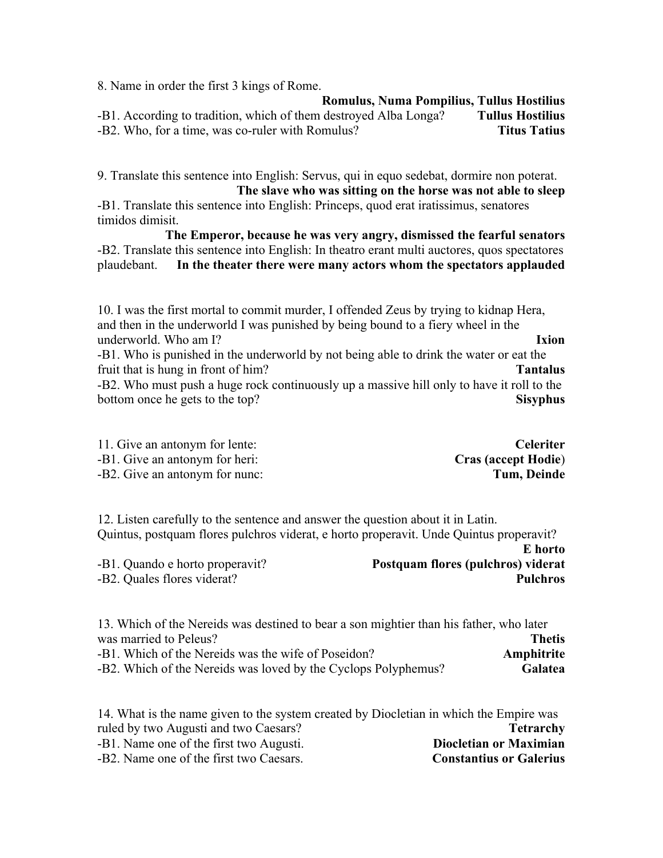8. Name in order the first 3 kings of Rome.

**Romulus, Numa Pompilius, Tullus Hostilius** -B1. According to tradition, which of them destroyed Alba Longa? **Tullus Hostilius** -B2. Who, for a time, was co-ruler with Romulus? **Titus Tatius**

9. Translate this sentence into English: Servus, qui in equo sedebat, dormire non poterat. **The slave who was sitting on the horse was not able to sleep**

-B1. Translate this sentence into English: Princeps, quod erat iratissimus, senatores timidos dimisit.

**The Emperor, because he was very angry, dismissed the fearful senators** -B2. Translate this sentence into English: In theatro erant multi auctores, quos spectatores plaudebant. **In the theater there were many actors whom the spectators applauded**

10. I was the first mortal to commit murder, I offended Zeus by trying to kidnap Hera, and then in the underworld I was punished by being bound to a fiery wheel in the underworld. Who am I? **Ixion**

-B1. Who is punished in the underworld by not being able to drink the water or eat the fruit that is hung in front of him? **Tantalus** -B2. Who must push a huge rock continuously up a massive hill only to have it roll to the bottom once he gets to the top? **Sisyphus** 

| 11. Give an antonym for lente: | <b>Celeriter</b>           |
|--------------------------------|----------------------------|
| -B1. Give an antonym for heri: | <b>Cras (accept Hodie)</b> |

-B2. Give an antonym for nunc: **Tum, Deinde**

12. Listen carefully to the sentence and answer the question about it in Latin. Quintus, postquam flores pulchros viderat, e horto properavit. Unde Quintus properavit? **E horto**

-B1. Quando e horto properavit? **Postquam flores (pulchros) viderat** -B2. Quales flores viderat? **Pulchros**

13. Which of the Nereids was destined to bear a son mightier than his father, who later was married to Peleus? **Thetis** -B1. Which of the Nereids was the wife of Poseidon? **Amphitrite** -B2. Which of the Nereids was loved by the Cyclops Polyphemus? **Galatea**

14. What is the name given to the system created by Diocletian in which the Empire was ruled by two Augusti and two Caesars? **Tetrarchy** -B1. Name one of the first two Augusti. **Diocletian or Maximian** -B2. Name one of the first two Caesars. **Constantius or Galerius**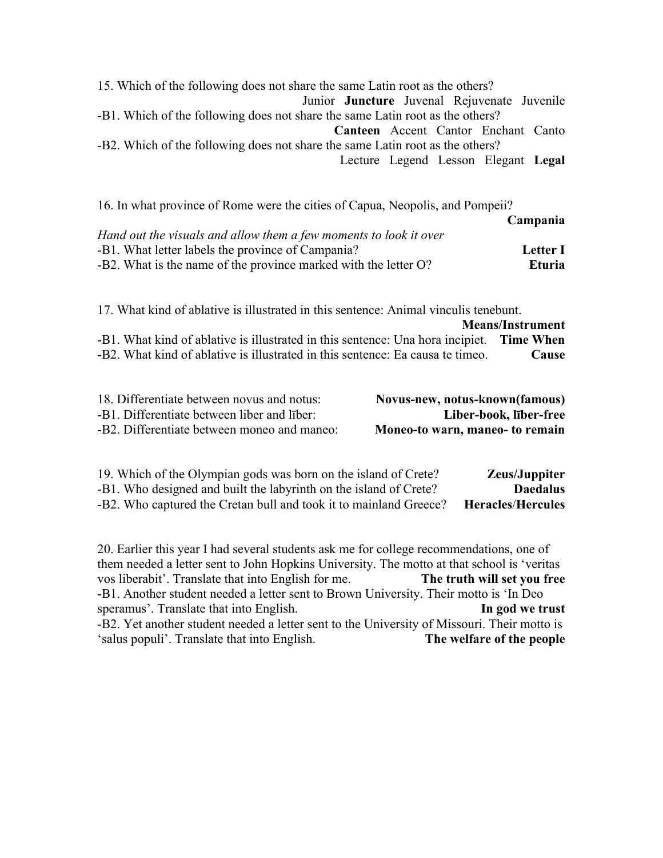15. Which of the following does not share the same Latin root as the others? Junior **Juncture** Juvenal Rejuvenate Juvenile -B1. Which of the following does not share the same Latin root as the others? **Canteen** Accent Cantor Enchant Canto -B2. Which of the following does not share the same Latin root as the others? Lecture Legend Lesson Elegant **Legal**

| 16. In what province of Rome were the cities of Capua, Neopolis, and Pompeii? |                 |
|-------------------------------------------------------------------------------|-----------------|
|                                                                               | Campania        |
| Hand out the visuals and allow them a few moments to look it over             |                 |
| -B1. What letter labels the province of Campania?                             | <b>Letter I</b> |
| -B2. What is the name of the province marked with the letter O?               | <b>Eturia</b>   |
|                                                                               |                 |

17. What kind of ablative is illustrated in this sentence: Animal vinculis tenebunt.

|                                                                                          | <b>Means/Instrument</b> |
|------------------------------------------------------------------------------------------|-------------------------|
| -B1. What kind of ablative is illustrated in this sentence: Una hora incipiet. Time When |                         |
| -B2. What kind of ablative is illustrated in this sentence: Ea causa te timeo.           | Cause                   |

| 18. Differentiate between novus and notus:  | Novus-new, notus-known(famous)  |
|---------------------------------------------|---------------------------------|
| -B1. Differentiate between liber and liber: | Liber-book, liber-free          |
| -B2. Differentiate between moneo and maneo: | Moneo-to warn, maneo- to remain |

| <b>Zeus/Juppiter</b>     | 19. Which of the Olympian gods was born on the island of Crete?   |  |
|--------------------------|-------------------------------------------------------------------|--|
| <b>Daedalus</b>          | -B1. Who designed and built the labyrinth on the island of Crete? |  |
| <b>Heracles/Hercules</b> | -B2. Who captured the Cretan bull and took it to mainland Greece? |  |

20. Earlier this year I had several students ask me for college recommendations, one of them needed a letter sent to John Hopkins University. The motto at that school is 'veritas vos liberabit'. Translate that into English for me. **The truth will set you free** -B1. Another student needed a letter sent to Brown University. Their motto is 'In Deo speramus'. Translate that into English. **In god we trust** -B2. Yet another student needed a letter sent to the University of Missouri. Their motto is 'salus populi'. Translate that into English. **The welfare of the people**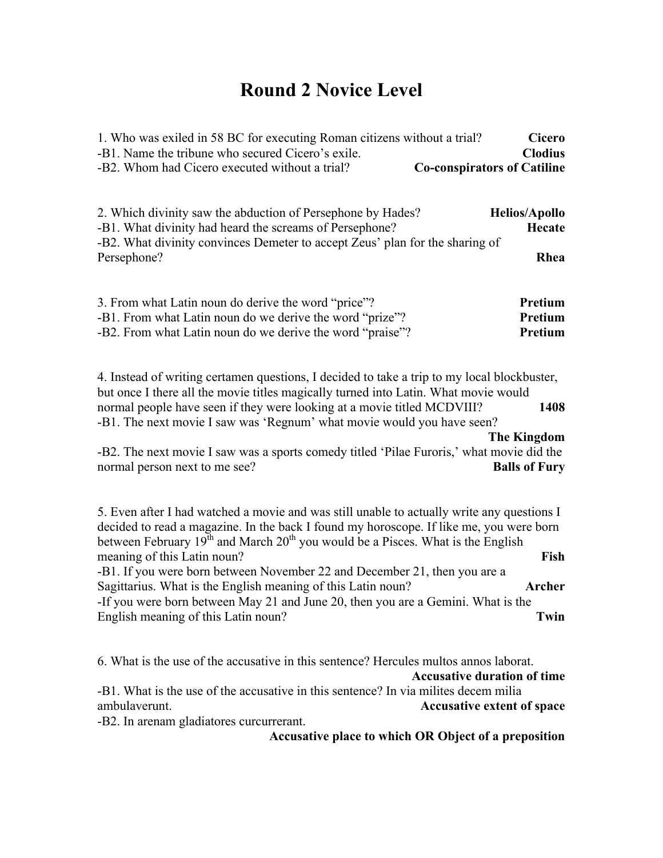## **Round 2 Novice Level**

| 1. Who was exiled in 58 BC for executing Roman citizens without a trial?<br>-B1. Name the tribune who secured Cicero's exile.                                                                                                                                                | Cicero<br><b>Clodius</b>       |
|------------------------------------------------------------------------------------------------------------------------------------------------------------------------------------------------------------------------------------------------------------------------------|--------------------------------|
| -B2. Whom had Cicero executed without a trial?<br><b>Co-conspirators of Catiline</b>                                                                                                                                                                                         |                                |
| 2. Which divinity saw the abduction of Persephone by Hades?<br>-B1. What divinity had heard the screams of Persephone?                                                                                                                                                       | <b>Helios/Apollo</b><br>Hecate |
| -B2. What divinity convinces Demeter to accept Zeus' plan for the sharing of<br>Persephone?                                                                                                                                                                                  | Rhea                           |
| 3. From what Latin noun do derive the word "price"?<br>-B1. From what Latin noun do we derive the word "prize"?                                                                                                                                                              | Pretium<br>Pretium             |
| -B2. From what Latin noun do we derive the word "praise"?                                                                                                                                                                                                                    | Pretium                        |
| 4. Instead of writing certamen questions, I decided to take a trip to my local blockbuster,<br>but once I there all the movie titles magically turned into Latin. What movie would                                                                                           |                                |
| normal people have seen if they were looking at a movie titled MCDVIII?<br>-B1. The next movie I saw was 'Regnum' what movie would you have seen?                                                                                                                            | 1408<br><b>The Kingdom</b>     |
| -B2. The next movie I saw was a sports comedy titled 'Pilae Furoris,' what movie did the<br>normal person next to me see?                                                                                                                                                    | <b>Balls of Fury</b>           |
| 5. Even after I had watched a movie and was still unable to actually write any questions I<br>decided to read a magazine. In the back I found my horoscope. If like me, you were born<br>between February $19th$ and March $20th$ you would be a Pisces. What is the English |                                |
| meaning of this Latin noun?<br>-B1. If you were born between November 22 and December 21, then you are a                                                                                                                                                                     | Fish                           |
| Sagittarius. What is the English meaning of this Latin noun?<br>-If you were born between May 21 and June 20, then you are a Gemini. What is the                                                                                                                             | <b>Archer</b>                  |
| English meaning of this Latin noun?                                                                                                                                                                                                                                          | Twin                           |
| 6. What is the use of the accusative in this sentence? Hercules multos annos laborat.                                                                                                                                                                                        |                                |

**Accusative duration of time**

-B1. What is the use of the accusative in this sentence? In via milites decem milia ambulaverunt. **Accusative extent of space**

-B2. In arenam gladiatores curcurrerant.

**Accusative place to which OR Object of a preposition**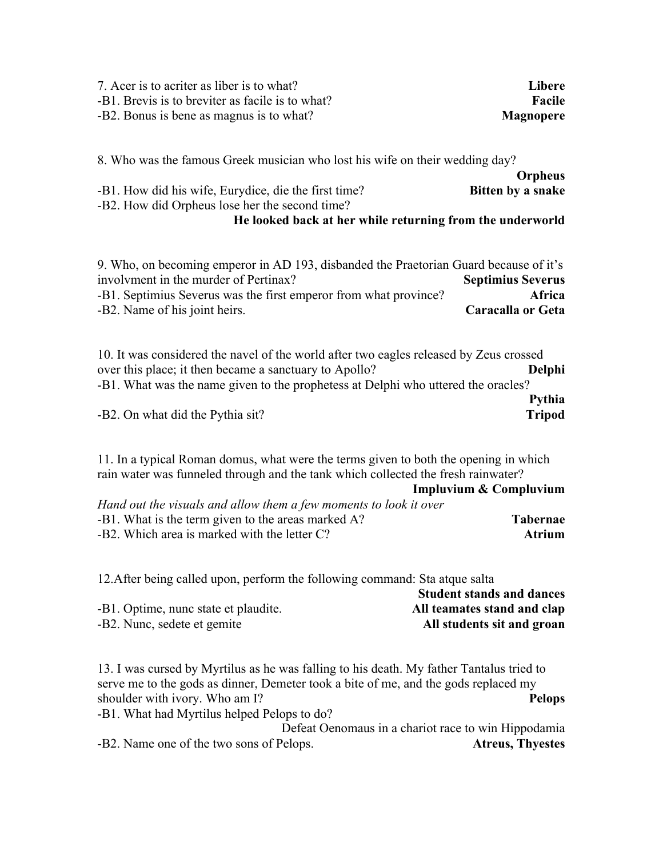| 7. Acer is to acriter as liber is to what?       | Libere           |
|--------------------------------------------------|------------------|
| -B1. Brevis is to breviter as facile is to what? | Facile           |
| -B2. Bonus is bene as magnus is to what?         | <b>Magnopere</b> |

8. Who was the famous Greek musician who lost his wife on their wedding day? **Orpheus** -B1. How did his wife, Eurydice, die the first time? **Bitten by a snake**

-B2. How did Orpheus lose her the second time?

## **He looked back at her while returning from the underworld**

| 9. Who, on becoming emperor in AD 193, disbanded the Praetorian Guard because of it's |
|---------------------------------------------------------------------------------------|
| <b>Septimius Severus</b>                                                              |
| Africa                                                                                |
| Caracalla or Geta                                                                     |
|                                                                                       |

10. It was considered the navel of the world after two eagles released by Zeus crossed over this place; it then became a sanctuary to Apollo? **Delphi** -B1. What was the name given to the prophetess at Delphi who uttered the oracles? **Pythia** -B2. On what did the Pythia sit? **Tripod**

11. In a typical Roman domus, what were the terms given to both the opening in which rain water was funneled through and the tank which collected the fresh rainwater?

|                                                                   | Impluvium & Compluvium |
|-------------------------------------------------------------------|------------------------|
| Hand out the visuals and allow them a few moments to look it over |                        |
| -B1. What is the term given to the areas marked A?                | <b>Tabernae</b>        |
| $-B2$ . Which area is marked with the letter $C$ ?                | <b>Atrium</b>          |

12.After being called upon, perform the following command: Sta atque salta **Student stands and dances** -B1. Optime, nunc state et plaudite. **All teamates stand and clap**

-B2. Nunc, sedete et gemite **All students sit and groan**

13. I was cursed by Myrtilus as he was falling to his death. My father Tantalus tried to serve me to the gods as dinner, Demeter took a bite of me, and the gods replaced my shoulder with ivory. Who am I? **Pelops**

-B1. What had Myrtilus helped Pelops to do? Defeat Oenomaus in a chariot race to win Hippodamia -B2. Name one of the two sons of Pelops. **Atreus, Thyestes**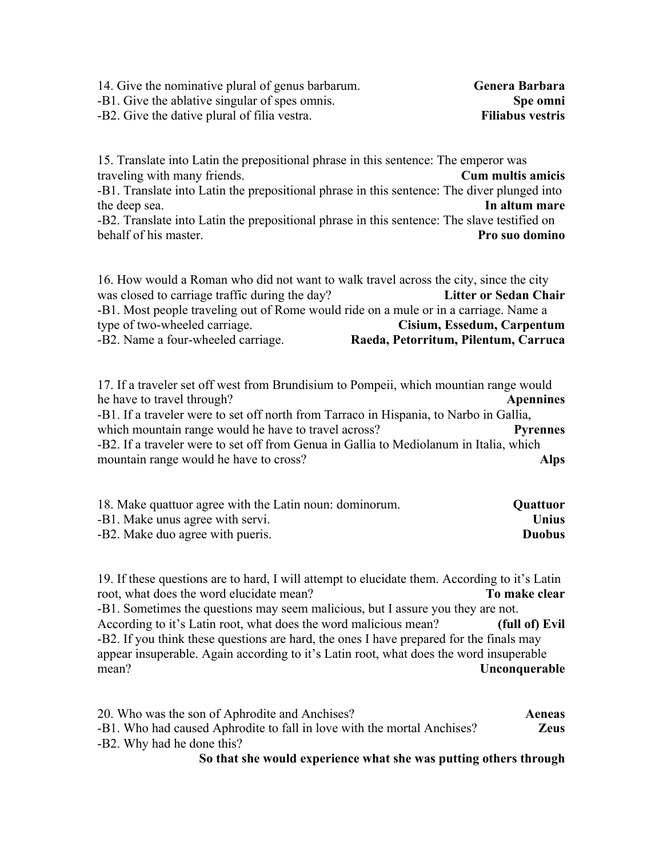| 14. Give the nominative plural of genus barbarum. | Genera Barbara          |
|---------------------------------------------------|-------------------------|
| -B1. Give the ablative singular of spes omnis.    | Spe omni                |
| -B2. Give the dative plural of filia vestra.      | <b>Filiabus vestris</b> |

15. Translate into Latin the prepositional phrase in this sentence: The emperor was traveling with many friends. **Cum multis amicis** -B1. Translate into Latin the prepositional phrase in this sentence: The diver plunged into the deep sea. **In altum mare** -B2. Translate into Latin the prepositional phrase in this sentence: The slave testified on behalf of his master. **Pro suo domino**

16. How would a Roman who did not want to walk travel across the city, since the city was closed to carriage traffic during the day? **Litter or Sedan Chair** -B1. Most people traveling out of Rome would ride on a mule or in a carriage. Name a type of two-wheeled carriage. **Cisium, Essedum, Carpentum** -B2. Name a four-wheeled carriage. **Raeda, Petorritum, Pilentum, Carruca**

17. If a traveler set off west from Brundisium to Pompeii, which mountian range would he have to travel through? **Apennines** -B1. If a traveler were to set off north from Tarraco in Hispania, to Narbo in Gallia, which mountain range would he have to travel across? **Pyrennes** -B2. If a traveler were to set off from Genua in Gallia to Mediolanum in Italia, which mountain range would he have to cross? **Alps**

| 18. Make quattuor agree with the Latin noun: dominorum. | <b>Quattuor</b> |
|---------------------------------------------------------|-----------------|
| -B1. Make unus agree with servi.                        | Unius           |
| -B2. Make duo agree with pueris.                        | <b>Duobus</b>   |

19. If these questions are to hard, I will attempt to elucidate them. According to it's Latin root, what does the word elucidate mean? **To make clear** -B1. Sometimes the questions may seem malicious, but I assure you they are not. According to it's Latin root, what does the word malicious mean? **(full of) Evil** -B2. If you think these questions are hard, the ones I have prepared for the finals may appear insuperable. Again according to it's Latin root, what does the word insuperable mean? **Unconquerable**

20. Who was the son of Aphrodite and Anchises? **Aeneas** -B1. Who had caused Aphrodite to fall in love with the mortal Anchises? **Zeus** -B2. Why had he done this?

#### **So that she would experience what she was putting others through**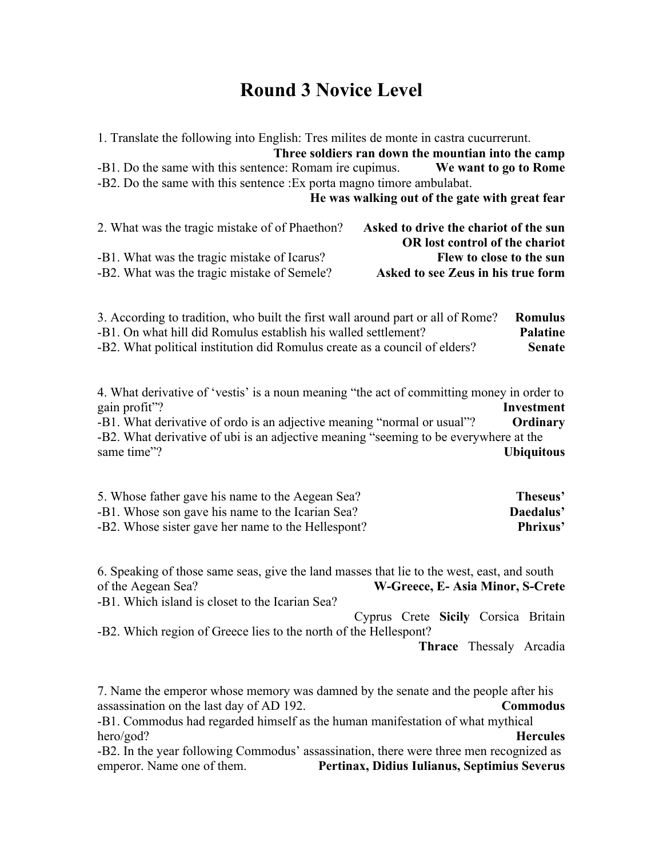## **Round 3 Novice Level**

| 1. Translate the following into English: Tres milites de monte in castra cucurrerunt.                                                                                                                                                                                                        | Three soldiers ran down the mountian into the camp                                                                                        |
|----------------------------------------------------------------------------------------------------------------------------------------------------------------------------------------------------------------------------------------------------------------------------------------------|-------------------------------------------------------------------------------------------------------------------------------------------|
| -B1. Do the same with this sentence: Romam ire cupimus.                                                                                                                                                                                                                                      | <b>Solution We want to go to Rome</b>                                                                                                     |
| -B2. Do the same with this sentence : Ex porta magno timore ambulabat.                                                                                                                                                                                                                       | He was walking out of the gate with great fear                                                                                            |
| 2. What was the tragic mistake of of Phaethon?<br>-B1. What was the tragic mistake of Icarus?<br>-B2. What was the tragic mistake of Semele?                                                                                                                                                 | Asked to drive the chariot of the sun<br>OR lost control of the chariot<br>Flew to close to the sun<br>Asked to see Zeus in his true form |
| 3. According to tradition, who built the first wall around part or all of Rome?                                                                                                                                                                                                              | <b>Romulus</b>                                                                                                                            |
| -B1. On what hill did Romulus establish his walled settlement?                                                                                                                                                                                                                               | <b>Palatine</b>                                                                                                                           |
| -B2. What political institution did Romulus create as a council of elders?                                                                                                                                                                                                                   | <b>Senate</b>                                                                                                                             |
| 4. What derivative of 'vestis' is a noun meaning "the act of committing money in order to<br>gain profit"?<br>-B1. What derivative of ordo is an adjective meaning "normal or usual"?<br>-B2. What derivative of ubi is an adjective meaning "seeming to be everywhere at the<br>same time"? | <b>Investment</b><br>Ordinary<br><b>Ubiquitous</b>                                                                                        |
| 5. Whose father gave his name to the Aegean Sea?                                                                                                                                                                                                                                             | Theseus'                                                                                                                                  |
| -B1. Whose son gave his name to the Icarian Sea?                                                                                                                                                                                                                                             | Daedalus'                                                                                                                                 |

-B2. Whose sister gave her name to the Hellespont? **Phrixus'**

6. Speaking of those same seas, give the land masses that lie to the west, east, and south of the Aegean Sea? **W-Greece, E- Asia Minor, S-Crete** -B1. Which island is closet to the Icarian Sea? Cyprus Crete **Sicily** Corsica Britain -B2. Which region of Greece lies to the north of the Hellespont? **Thrace** ThessalyArcadia

7. Name the emperor whose memory was damned by the senate and the people after his assassination on the last day of AD 192. **Commodus**

-B1. Commodus had regarded himself as the human manifestation of what mythical hero/god? **Hercules**

-B2. In the year following Commodus' assassination, there were three men recognized as emperor. Name one of them. **Pertinax, Didius Iulianus, Septimius Severus**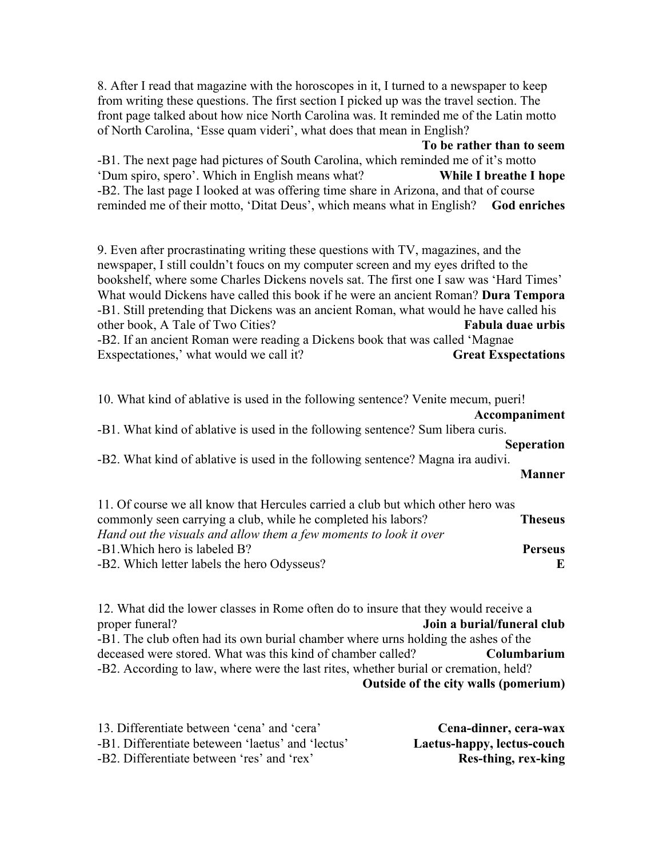8. After I read that magazine with the horoscopes in it, I turned to a newspaper to keep from writing these questions. The first section I picked up was the travel section. The front page talked about how nice North Carolina was. It reminded me of the Latin motto of North Carolina, 'Esse quam videri', what does that mean in English?

**To be rather than to seem** -B1. The next page had pictures of South Carolina, which reminded me of it's motto 'Dum spiro, spero'. Which in English means what? **While I breathe I hope** -B2. The last page I looked at was offering time share in Arizona, and that of course reminded me of their motto, 'Ditat Deus', which means what in English? **God enriches**

9. Even after procrastinating writing these questions with TV, magazines, and the newspaper, I still couldn't foucs on my computer screen and my eyes drifted to the bookshelf, where some Charles Dickens novels sat. The first one I saw was 'Hard Times' What would Dickens have called this book if he were an ancient Roman? **Dura Tempora** -B1. Still pretending that Dickens was an ancient Roman, what would he have called his other book, A Tale of Two Cities? **Fabula duae urbis** -B2. If an ancient Roman were reading a Dickens book that was called 'Magnae Exspectationes,' what would we call it? **Great Exspectations**

10. What kind of ablative is used in the following sentence? Venite mecum, pueri!

**Accompaniment**

-B1. What kind of ablative is used in the following sentence? Sum libera curis. **Seperation**

-B2. What kind of ablative is used in the following sentence? Magna ira audivi.

**Manner**

| 11. Of course we all know that Hercules carried a club but which other hero was |                |
|---------------------------------------------------------------------------------|----------------|
| commonly seen carrying a club, while he completed his labors?                   | <b>Theseus</b> |
| Hand out the visuals and allow them a few moments to look it over               |                |
| -B1. Which hero is labeled B?                                                   | <b>Perseus</b> |
| -B2. Which letter labels the hero Odysseus?                                     | E.             |
|                                                                                 |                |

12. What did the lower classes in Rome often do to insure that they would receive a proper funeral? **Join a burial/funeral club** -B1. The club often had its own burial chamber where urns holding the ashes of the deceased were stored. What was this kind of chamber called? **Columbarium** -B2. According to law, where were the last rites, whether burial or cremation, held? **Outside of the city walls (pomerium)**

| 13. Differentiate between 'cena' and 'cera'       | Cena-dinner, cera-wax      |
|---------------------------------------------------|----------------------------|
| -B1. Differentiate beteween 'laetus' and 'lectus' | Laetus-happy, lectus-couch |
| -B2. Differentiate between 'res' and 'rex'        | Res-thing, rex-king        |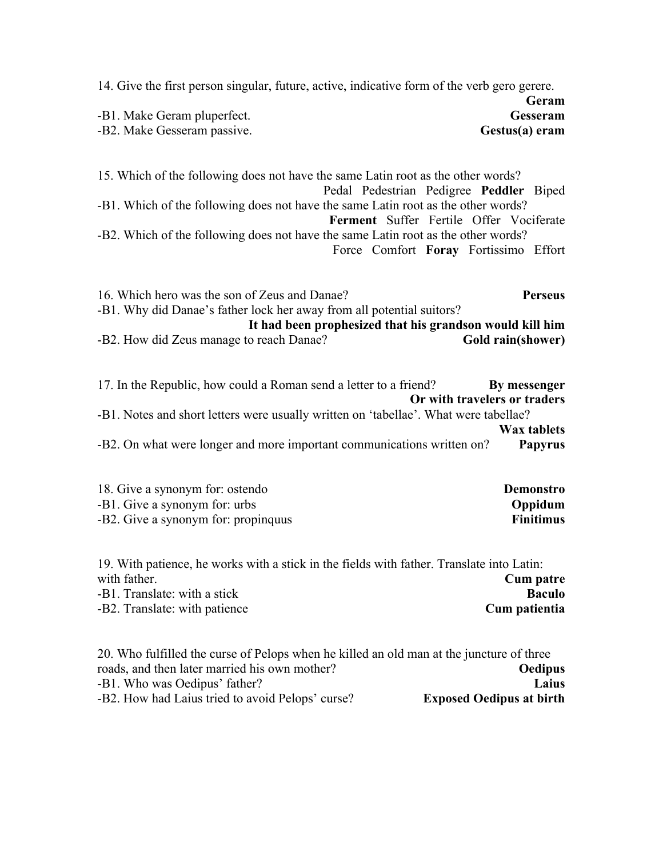| 14. Give the first person singular, future, active, indicative form of the verb gero gerere.                                                                                                                                                                                                                                                                                              | Geram                                    |
|-------------------------------------------------------------------------------------------------------------------------------------------------------------------------------------------------------------------------------------------------------------------------------------------------------------------------------------------------------------------------------------------|------------------------------------------|
| -B1. Make Geram pluperfect.<br>-B2. Make Gesseram passive.<br>Gestus(a) eram                                                                                                                                                                                                                                                                                                              | Gesseram                                 |
| 15. Which of the following does not have the same Latin root as the other words?<br>Pedal Pedestrian Pedigree Peddler Biped<br>-B1. Which of the following does not have the same Latin root as the other words?<br>Ferment Suffer Fertile Offer Vociferate<br>-B2. Which of the following does not have the same Latin root as the other words?<br>Force Comfort Foray Fortissimo Effort |                                          |
| 16. Which hero was the son of Zeus and Danae?<br>-B1. Why did Danae's father lock her away from all potential suitors?<br>It had been prophesized that his grandson would kill him<br>-B2. How did Zeus manage to reach Danae?<br>Gold rain(shower)                                                                                                                                       | <b>Perseus</b>                           |
| 17. In the Republic, how could a Roman send a letter to a friend?<br>By messenger<br>Or with travelers or traders<br>-B1. Notes and short letters were usually written on 'tabellae'. What were tabellae?<br>-B2. On what were longer and more important communications written on?                                                                                                       | <b>Wax tablets</b><br><b>Papyrus</b>     |
| 18. Give a synonym for: ostendo<br>-B1. Give a synonym for: urbs<br>-B2. Give a synonym for: propinquus                                                                                                                                                                                                                                                                                   | Demonstro<br>Oppidum<br><b>Finitimus</b> |
| 19. With patience, he works with a stick in the fields with father. Translate into Latin:<br>with father.                                                                                                                                                                                                                                                                                 | <b>Cum patre</b>                         |

| <b>Cum patre</b> |
|------------------|
| Baculo           |
| Cum patientia    |
|                  |

| 20. Who fulfilled the curse of Pelops when he killed an old man at the juncture of three |                                 |
|------------------------------------------------------------------------------------------|---------------------------------|
| roads, and then later married his own mother?                                            | Oedipus                         |
| -B1. Who was Oedipus' father?                                                            | Laius                           |
| -B2. How had Laius tried to avoid Pelops' curse?                                         | <b>Exposed Oedipus at birth</b> |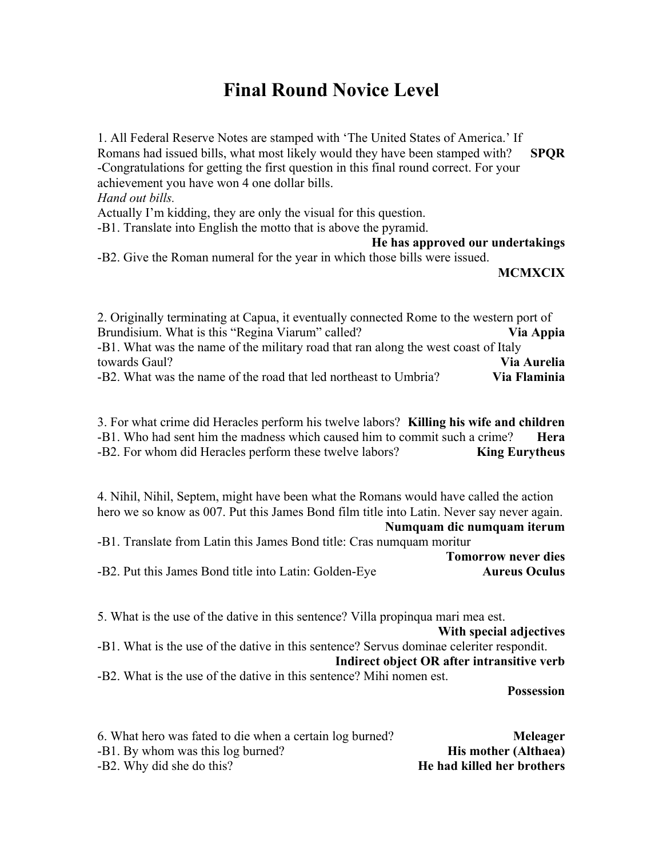## **Final Round Novice Level**

1. All Federal Reserve Notes are stamped with 'The United States of America.' If Romans had issued bills, what most likely would they have been stamped with? **SPQR** -Congratulations for getting the first question in this final round correct. For your achievement you have won 4 one dollar bills. *Hand out bills.* Actually I'm kidding, they are only the visual for this question. -B1. Translate into English the motto that is above the pyramid.

**He has approved our undertakings**

-B2. Give the Roman numeral for the year in which those bills were issued.

**MCMXCIX**

2. Originally terminating at Capua, it eventually connected Rome to the western port of Brundisium. What is this "Regina Viarum" called? **Via Appia** -B1. What was the name of the military road that ran along the west coast of Italy towards Gaul? **Via Aurelia** -B2. What was the name of the road that led northeast to Umbria? **Via Flaminia**

3. For what crime did Heracles perform his twelve labors? **Killing his wife and children** -B1. Who had sent him the madness which caused him to commit such a crime? **Hera** -B2. For whom did Heracles perform these twelve labors? **King Eurytheus**

4. Nihil, Nihil, Septem, might have been what the Romans would have called the action hero we so know as 007. Put this James Bond film title into Latin. Never say never again.

**Numquam dic numquam iterum**

|  |  | -B1. Translate from Latin this James Bond title: Cras numquam moritur |                            |  |
|--|--|-----------------------------------------------------------------------|----------------------------|--|
|  |  |                                                                       | <b>Tomorrow never dies</b> |  |

-B2. Put this James Bond title into Latin: Golden-Eye **Aureus Oculus** 

5. What is the use of the dative in this sentence? Villa propinqua mari mea est.

**With special adjectives** -B1. What is the use of the dative in this sentence? Servus dominae celeriter respondit. **Indirect object OR after intransitive verb** -B2. What is the use of the dative in this sentence? Mihi nomen est.

**Possession**

| 6. What hero was fated to die when a certain log burned? | Meleager                    |
|----------------------------------------------------------|-----------------------------|
| -B1. By whom was this log burned?                        | <b>His mother (Althaea)</b> |
| -B2. Why did she do this?                                | He had killed her brothers  |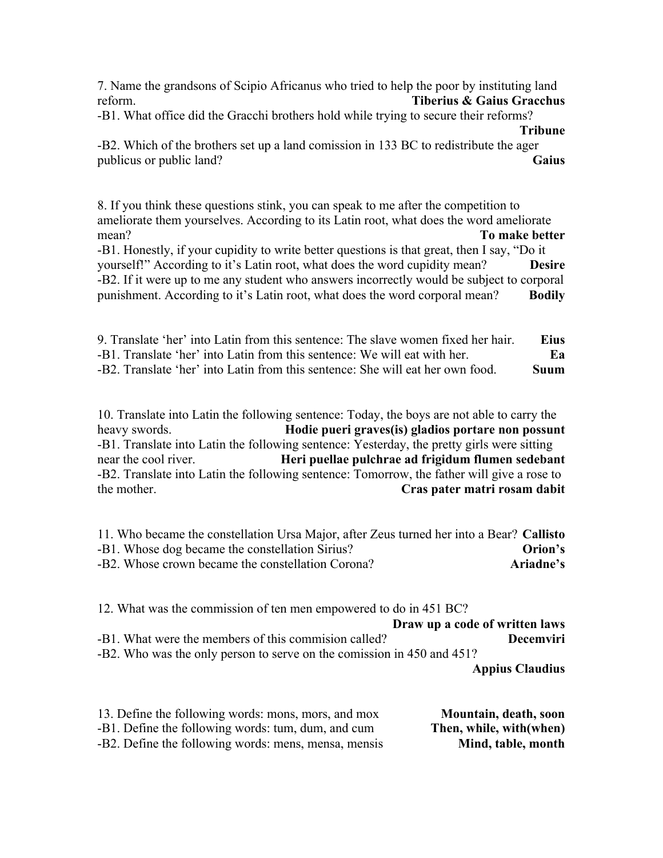7. Name the grandsons of Scipio Africanus who tried to help the poor by instituting land reform. **Tiberius & Gaius Gracchus**

-B1. What office did the Gracchi brothers hold while trying to secure their reforms?

#### **Tribune**

-B2. Which of the brothers set up a land comission in 133 BC to redistribute the ager publicus or public land? **Gaius**

8. If you think these questions stink, you can speak to me after the competition to ameliorate them yourselves. According to its Latin root, what does the word ameliorate mean? **To make better** -B1. Honestly, if your cupidity to write better questions is that great, then I say, "Do it

yourself!" According to it's Latin root, what does the word cupidity mean? **Desire** -B2. If it were up to me any student who answers incorrectly would be subject to corporal punishment. According to it's Latin root, what does the word corporal mean? **Bodily**

9. Translate 'her' into Latin from this sentence: The slave women fixed her hair. **Eius** -B1. Translate 'her' into Latin from this sentence: We will eat with her. **Ea** -B2. Translate 'her' into Latin from this sentence: She will eat her own food. **Suum**

10. Translate into Latin the following sentence: Today, the boys are not able to carry the heavy swords. **Hodie pueri graves(is) gladios portare non possunt** -B1. Translate into Latin the following sentence: Yesterday, the pretty girls were sitting near the cool river. **Heri puellae pulchrae ad frigidum flumen sedebant** -B2. Translate into Latin the following sentence: Tomorrow, the father will give a rose to the mother. **Cras pater matri rosam dabit**

11. Who became the constellation Ursa Major, after Zeus turned her into a Bear? **Callisto** -B1. Whose dog became the constellation Sirius? **Orion's** -B2. Whose crown became the constellation Corona? **Ariadne's**

12. What was the commission of ten men empowered to do in 451 BC? **Draw up a code of written laws** -B1. What were the members of this commision called? **Decemviri** -B2. Who was the only person to serve on the comission in 450 and 451? **Appius Claudius**

13. Define the following words: mons, mors, and mox **Mountain, death, soon** -B1. Define the following words: tum, dum, and cum **Then, while, with(when)** -B2. Define the following words: mens, mensa, mensis **Mind, table, month**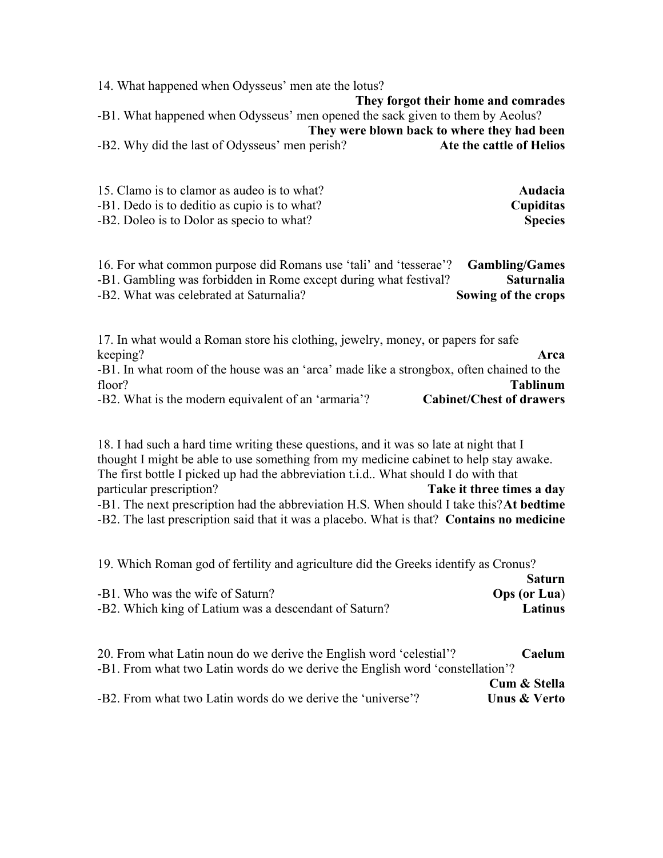14. What happened when Odysseus' men ate the lotus? **They forgot their home and comrades** -B1. What happened when Odysseus' men opened the sack given to them by Aeolus? **They were blown back to where they had been** -B2. Why did the last of Odysseus' men perish? **Ate the cattle of Helios**

| 15. Clamo is to clamor as audeo is to what?  | <b>Audacia</b> |
|----------------------------------------------|----------------|
| -B1. Dedo is to deditio as cupio is to what? | Cupiditas      |
| -B2. Doleo is to Dolor as specio to what?    | <b>Species</b> |

16. For what common purpose did Romans use 'tali' and 'tesserae'? **Gambling/Games** -B1. Gambling was forbidden in Rome except during what festival? **Saturnalia** -B2. What was celebrated at Saturnalia? **Sowing of the crops**

17. In what would a Roman store his clothing, jewelry, money, or papers for safe keeping? **Arca** -B1. In what room of the house was an 'arca' made like a strongbox, often chained to the floor? **Tablinum** -B2. What is the modern equivalent of an 'armaria'? **Cabinet/Chest of drawers**

18. I had such a hard time writing these questions, and it was so late at night that I thought I might be able to use something from my medicine cabinet to help stay awake. The first bottle I picked up had the abbreviation t.i.d.. What should I do with that particular prescription? **Take it three times a day** -B1. The next prescription had the abbreviation H.S. When should I take this?**At bedtime** -B2. The last prescription said that it was a placebo. What is that? **Contains no medicine**

19. Which Roman god of fertility and agriculture did the Greeks identify as Cronus?

|                                                       | <b>Saturn</b>       |
|-------------------------------------------------------|---------------------|
| -B1. Who was the wife of Saturn?                      | <b>Ops (or Lua)</b> |
| -B2. Which king of Latium was a descendant of Saturn? | Latinus             |

| <b>Caelum</b>                                                                 |
|-------------------------------------------------------------------------------|
| -B1. From what two Latin words do we derive the English word 'constellation'? |
| Cum & Stella                                                                  |
| <b>Unus &amp; Verto</b>                                                       |
|                                                                               |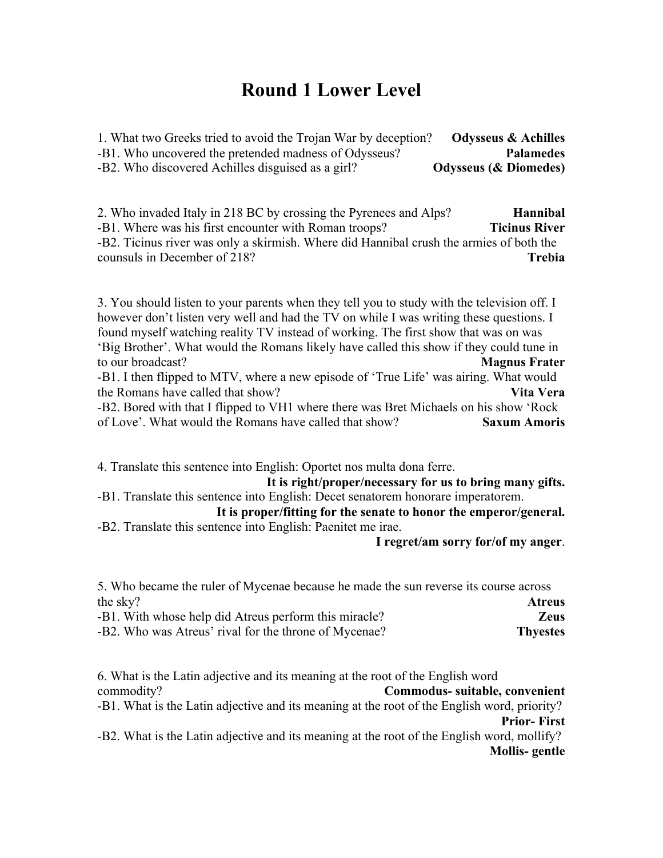## **Round 1 Lower Level**

1. What two Greeks tried to avoid the Trojan War by deception? **Odysseus & Achilles** -B1. Who uncovered the pretended madness of Odysseus? **Palamedes** -B2. Who discovered Achilles disguised as a girl? **Odysseus (& Diomedes)**

2. Who invaded Italy in 218 BC by crossing the Pyrenees and Alps? **Hannibal** -B1. Where was his first encounter with Roman troops? **Ticinus River** -B2. Ticinus river was only a skirmish. Where did Hannibal crush the armies of both the counsuls in December of 218? **Trebia**

3. You should listen to your parents when they tell you to study with the television off. I however don't listen very well and had the TV on while I was writing these questions. I found myself watching reality TV instead of working. The first show that was on was 'Big Brother'. What would the Romans likely have called this show if they could tune in to our broadcast? **Magnus Frater** -B1. I then flipped to MTV, where a new episode of 'True Life' was airing. What would the Romans have called that show? **Vita Vera** -B2. Bored with that I flipped to VH1 where there was Bret Michaels on his show 'Rock of Love'. What would the Romans have called that show? **Saxum Amoris**

4. Translate this sentence into English: Oportet nos multa dona ferre.

**It is right/proper/necessary for us to bring many gifts.** -B1. Translate this sentence into English: Decet senatorem honorare imperatorem.

**It is proper/fitting for the senate to honor the emperor/general.** -B2. Translate this sentence into English: Paenitet me irae.

**I regret/am sorry for/of my anger**.

| 5. Who became the ruler of Mycenae because he made the sun reverse its course across |                 |
|--------------------------------------------------------------------------------------|-----------------|
| the sky?                                                                             | <b>Atreus</b>   |
| -B1. With whose help did Atreus perform this miracle?                                | <b>Zeus</b>     |
| -B2. Who was Atreus' rival for the throne of Mycenae?                                | <b>Thyestes</b> |

6. What is the Latin adjective and its meaning at the root of the English word commodity? **Commodus- suitable, convenient** -B1. What is the Latin adjective and its meaning at the root of the English word, priority? **Prior- First** -B2. What is the Latin adjective and its meaning at the root of the English word, mollify? **Mollis- gentle**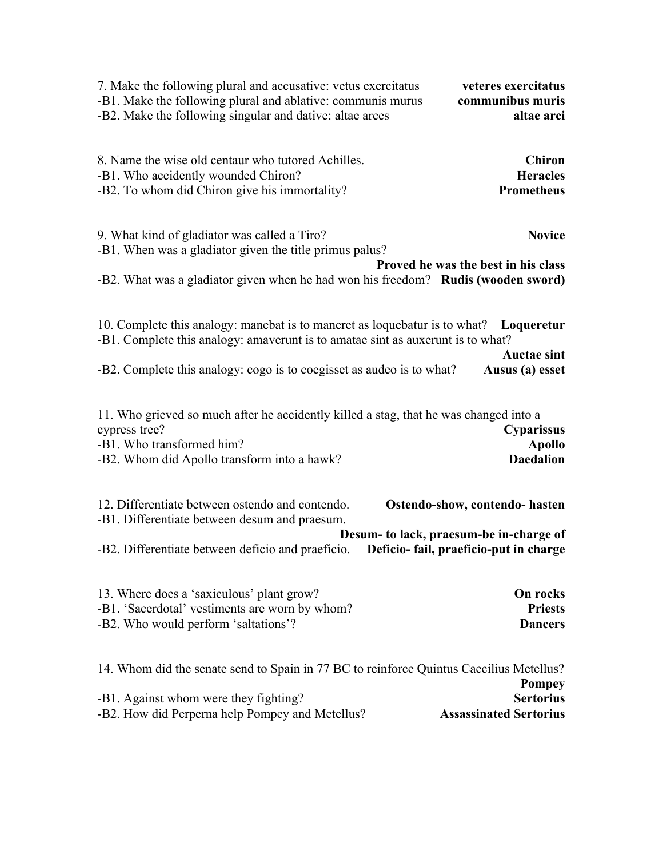| 7. Make the following plural and accusative: vetus exercitatus                                                                                                                                                                                    | veteres exercitatus                                    |
|---------------------------------------------------------------------------------------------------------------------------------------------------------------------------------------------------------------------------------------------------|--------------------------------------------------------|
| -B1. Make the following plural and ablative: communis murus                                                                                                                                                                                       | communibus muris                                       |
| -B2. Make the following singular and dative: altae arces                                                                                                                                                                                          | altae arci                                             |
| 8. Name the wise old centaur who tutored Achilles.                                                                                                                                                                                                | <b>Chiron</b>                                          |
| -B1. Who accidently wounded Chiron?                                                                                                                                                                                                               | <b>Heracles</b>                                        |
| -B2. To whom did Chiron give his immortality?                                                                                                                                                                                                     | <b>Prometheus</b>                                      |
| 9. What kind of gladiator was called a Tiro?<br>-B1. When was a gladiator given the title primus palus?<br>-B2. What was a gladiator given when he had won his freedom? Rudis (wooden sword)                                                      | <b>Novice</b><br>Proved he was the best in his class   |
| 10. Complete this analogy: manebat is to maneret as loquebatur is to what? Loqueretur<br>-B1. Complete this analogy: amaverunt is to amatae sint as auxerunt is to what?<br>-B2. Complete this analogy: cogo is to coegisset as audeo is to what? | <b>Auctae sint</b><br>Ausus (a) esset                  |
| 11. Who grieved so much after he accidently killed a stag, that he was changed into a<br>cypress tree?<br>-B1. Who transformed him?<br>-B2. Whom did Apollo transform into a hawk?                                                                | <b>Cyparissus</b><br><b>Apollo</b><br><b>Daedalion</b> |
| 12. Differentiate between ostendo and contendo.                                                                                                                                                                                                   | Ostendo-show, contendo- hasten                         |
| -B1. Differentiate between desum and praesum.                                                                                                                                                                                                     | Desum- to lack, praesum-be in-charge of                |
| -B2. Differentiate between deficio and praeficio.                                                                                                                                                                                                 | Deficio-fail, praeficio-put in charge                  |
| 13. Where does a 'saxiculous' plant grow?                                                                                                                                                                                                         | On rocks                                               |
| -B1. 'Sacerdotal' vestiments are worn by whom?                                                                                                                                                                                                    | <b>Priests</b>                                         |
| -B2. Who would perform 'saltations'?                                                                                                                                                                                                              | <b>Dancers</b>                                         |
| 14. Whom did the senate send to Spain in 77 BC to reinforce Quintus Caecilius Metellus?                                                                                                                                                           | <b>Pompey</b>                                          |
| -B1. Against whom were they fighting?                                                                                                                                                                                                             | <b>Sertorius</b>                                       |

-B2. How did Perperna help Pompey and Metellus? **Assassinated Sertorius**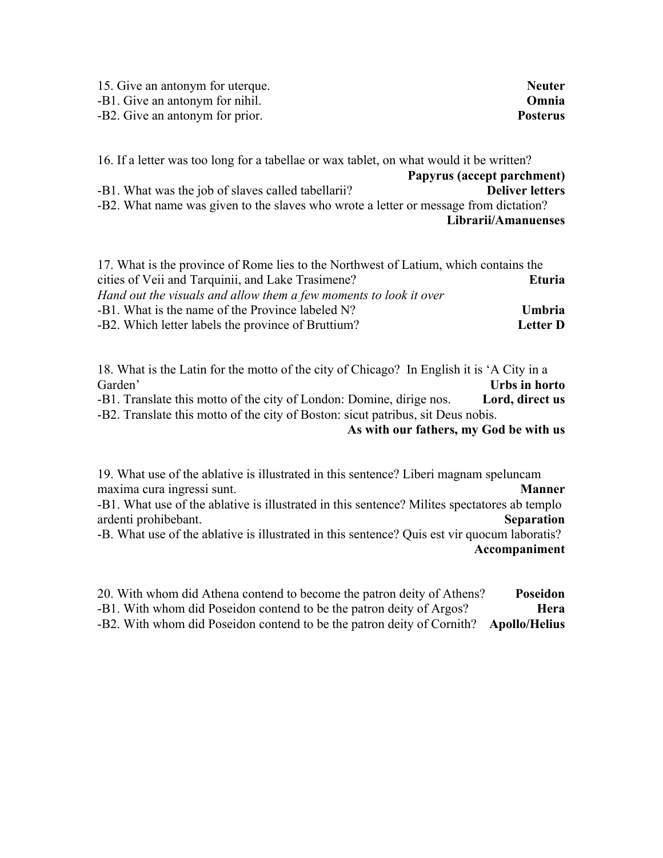| 15. Give an antonym for uterque. | <b>Neuter</b>   |
|----------------------------------|-----------------|
| -B1. Give an antonym for nihil.  | Omnia           |
| -B2. Give an antonym for prior.  | <b>Posterus</b> |

16. If a letter was too long for a tabellae or wax tablet, on what would it be written? **Papyrus (accept parchment)** -B1. What was the job of slaves called tabellarii? **Deliver letters** -B2. What name was given to the slaves who wrote a letter or message from dictation? **Librarii/Amanuenses**

| 17. What is the province of Rome lies to the Northwest of Latium, which contains the |                 |
|--------------------------------------------------------------------------------------|-----------------|
| cities of Veii and Tarquinii, and Lake Trasimene?                                    | Eturia.         |
| Hand out the visuals and allow them a few moments to look it over                    |                 |
| -B1. What is the name of the Province labeled N?                                     | <b>Umbria</b>   |
| -B2. Which letter labels the province of Bruttium?                                   | <b>Letter D</b> |

18. What is the Latin for the motto of the city of Chicago? In English it is 'A City in a Garden' **Urbs in horto** -B1. Translate this motto of the city of London: Domine, dirige nos. **Lord, direct us** -B2. Translate this motto of the city of Boston: sicut patribus, sit Deus nobis. **As with our fathers, my God be with us**

19. What use of the ablative is illustrated in this sentence? Liberi magnam speluncam maxima cura ingressi sunt. **Manner** Manner -B1. What use of the ablative is illustrated in this sentence? Milites spectatores ab templo ardenti prohibebant. **Separation** -B. What use of the ablative is illustrated in this sentence? Quis est vir quocum laboratis? **Accompaniment**

20. With whom did Athena contend to become the patron deity of Athens? **Poseidon** -B1. With whom did Poseidon contend to be the patron deity of Argos? **Hera** -B2. With whom did Poseidon contend to be the patron deity of Cornith? **Apollo/Helius**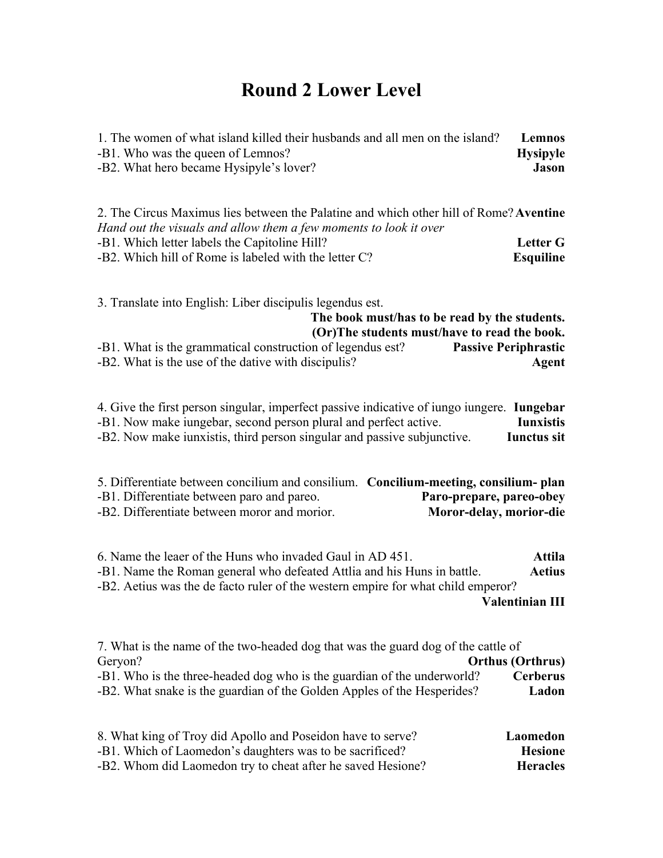## **Round 2 Lower Level**

| 1. The women of what island killed their husbands and all men on the island? | Lemnos          |
|------------------------------------------------------------------------------|-----------------|
| -B1. Who was the queen of Lemnos?                                            | <b>Hysipyle</b> |
| -B2. What hero became Hysipyle's lover?                                      | Jason           |
|                                                                              |                 |

2. The Circus Maximus lies between the Palatine and which other hill of Rome?**Aventine** *Hand out the visuals and allow them a few moments to look it over* -B1. Which letter labels the Capitoline Hill? **Letter G** -B2. Which hill of Rome is labeled with the letter C? **Esquiline**

3. Translate into English: Liber discipulis legendus est.

| The book must/has to be read by the students.              |  |                             |
|------------------------------------------------------------|--|-----------------------------|
| (Or) The students must/have to read the book.              |  |                             |
| -B1. What is the grammatical construction of legendus est? |  | <b>Passive Periphrastic</b> |
| -B2. What is the use of the dative with discipulis?        |  | Agent                       |

4. Give the first person singular, imperfect passive indicative of iungo iungere. **Iungebar** -B1. Now make iungebar, second person plural and perfect active. **Iunxistis** -B2. Now make iunxistis, third person singular and passive subjunctive. **Iunctus sit**

| 5. Differentiate between concilium and consilium. Concilium-meeting, consilium-plan |                          |
|-------------------------------------------------------------------------------------|--------------------------|
| -B1. Differentiate between paro and pareo.                                          | Paro-prepare, pareo-obey |
| -B2. Differentiate between moror and morior.                                        | Moror-delay, morior-die  |

6. Name the leaer of the Huns who invaded Gaul in AD 451. **Attila** -B1. Name the Roman general who defeated Attlia and his Huns in battle. **Aetius** -B2. Aetius was the de facto ruler of the western empire for what child emperor? **Valentinian III**

|                         | 7. What is the name of the two-headed dog that was the guard dog of the cattle of |
|-------------------------|-----------------------------------------------------------------------------------|
| <b>Orthus (Orthrus)</b> | Geryon?                                                                           |
| <b>Cerberus</b>         | -B1. Who is the three-headed dog who is the guardian of the underworld?           |
| Ladon                   | -B2. What snake is the guardian of the Golden Apples of the Hesperides?           |
|                         |                                                                                   |

| 8. What king of Troy did Apollo and Poseidon have to serve? | Laomedon        |
|-------------------------------------------------------------|-----------------|
| -B1. Which of Laomedon's daughters was to be sacrificed?    | <b>Hesione</b>  |
| -B2. Whom did Laomedon try to cheat after he saved Hesione? | <b>Heracles</b> |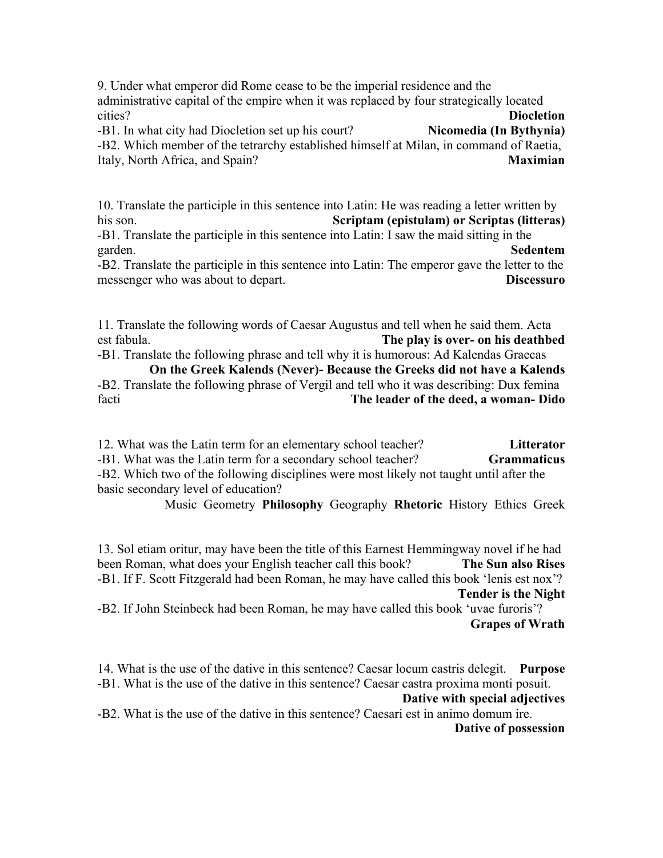9. Under what emperor did Rome cease to be the imperial residence and the administrative capital of the empire when it was replaced by four strategically located cities? **Diocletion**

-B1. In what city had Diocletion set up his court? **Nicomedia (In Bythynia)** 

-B2. Which member of the tetrarchy established himself at Milan, in command of Raetia, Italy, North Africa, and Spain? **Maximian**

10. Translate the participle in this sentence into Latin: He was reading a letter written by his son. **Scriptam (epistulam) or Scriptas (litteras)**

-B1. Translate the participle in this sentence into Latin: I saw the maid sitting in the garden. **Sedentem**

-B2. Translate the participle in this sentence into Latin: The emperor gave the letter to the messenger who was about to depart. **Discessuro**

11. Translate the following words of Caesar Augustus and tell when he said them. Acta est fabula. **The play is over- on his deathbed**

-B1. Translate the following phrase and tell why it is humorous: Ad Kalendas Graecas **On the Greek Kalends (Never)- Because the Greeks did not have a Kalends**

-B2. Translate the following phrase of Vergil and tell who it was describing: Dux femina facti **The leader of the deed, a woman- Dido**

12. What was the Latin term for an elementary school teacher? **Litterator** -B1. What was the Latin term for a secondary school teacher? **Grammaticus** -B2. Which two of the following disciplines were most likely not taught until after the

basic secondary level of education?

Music Geometry **Philosophy** Geography **Rhetoric** History Ethics Greek

13. Sol etiam oritur, may have been the title of this Earnest Hemmingway novel if he had been Roman, what does your English teacher call this book? **The Sun also Rises** -B1. If F. Scott Fitzgerald had been Roman, he may have called this book 'lenis est nox'? **Tender is the Night**

-B2. If John Steinbeck had been Roman, he may have called this book 'uvae furoris'? **Grapes of Wrath**

14. What is the use of the dative in this sentence? Caesar locum castris delegit. **Purpose** -B1. What is the use of the dative in this sentence? Caesar castra proxima monti posuit.

**Dative with special adjectives**

-B2. What is the use of the dative in this sentence? Caesari est in animo domum ire. **Dative of possession**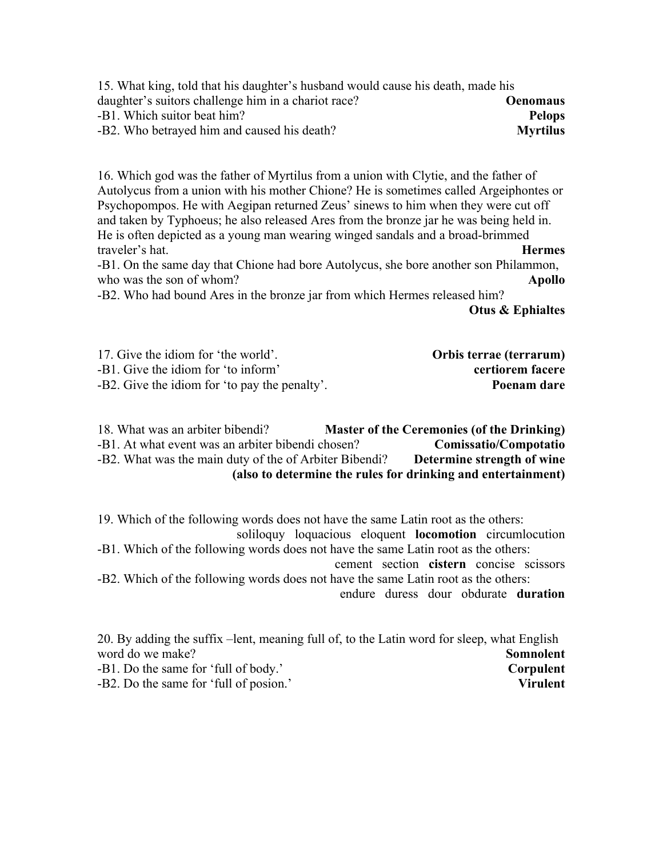| 15. What king, told that his daughter's husband would cause his death, made his |                 |
|---------------------------------------------------------------------------------|-----------------|
| daughter's suitors challenge him in a chariot race?                             | <b>Oenomaus</b> |
| -B1. Which suitor beat him?                                                     | <b>Pelops</b>   |
| -B2. Who betrayed him and caused his death?                                     | <b>Myrtilus</b> |

16. Which god was the father of Myrtilus from a union with Clytie, and the father of Autolycus from a union with his mother Chione? He is sometimes called Argeiphontes or Psychopompos. He with Aegipan returned Zeus' sinews to him when they were cut off and taken by Typhoeus; he also released Ares from the bronze jar he was being held in. He is often depicted as a young man wearing winged sandals and a broad-brimmed traveler's hat. **Hermes**

-B1. On the same day that Chione had bore Autolycus, she bore another son Philammon, who was the son of whom? **Apollo** 

-B2. Who had bound Ares in the bronze jar from which Hermes released him?

**Otus & Ephialtes**

| 17. Give the idiom for 'the world'.           | Orbis terrae (terrarum) |
|-----------------------------------------------|-------------------------|
| -B1. Give the idiom for 'to inform'           | certiorem facere        |
| -B2. Give the idiom for 'to pay the penalty'. | Poenam dare             |

| 18. What was an arbiter bibendi?                             |  | <b>Master of the Ceremonies (of the Drinking)</b> |
|--------------------------------------------------------------|--|---------------------------------------------------|
| -B1. At what event was an arbiter bibendi chosen?            |  | Comissatio/Compotatio                             |
| -B2. What was the main duty of the of Arbiter Bibendi?       |  | Determine strength of wine                        |
| (also to determine the rules for drinking and entertainment) |  |                                                   |

19. Which of the following words does not have the same Latin root as the others:

soliloquy loquacious eloquent **locomotion** circumlocution -B1. Which of the following words does not have the same Latin root as the others:

cement section **cistern** concise scissors -B2. Which of the following words does not have the same Latin root as the others:

endure duress dour obdurate **duration**

20. By adding the suffix –lent, meaning full of, to the Latin word for sleep, what English word do we make? **Somnolent** -B1. Do the same for 'full of body.' **Corpulent** -B2. Do the same for 'full of posion.' **Virulent**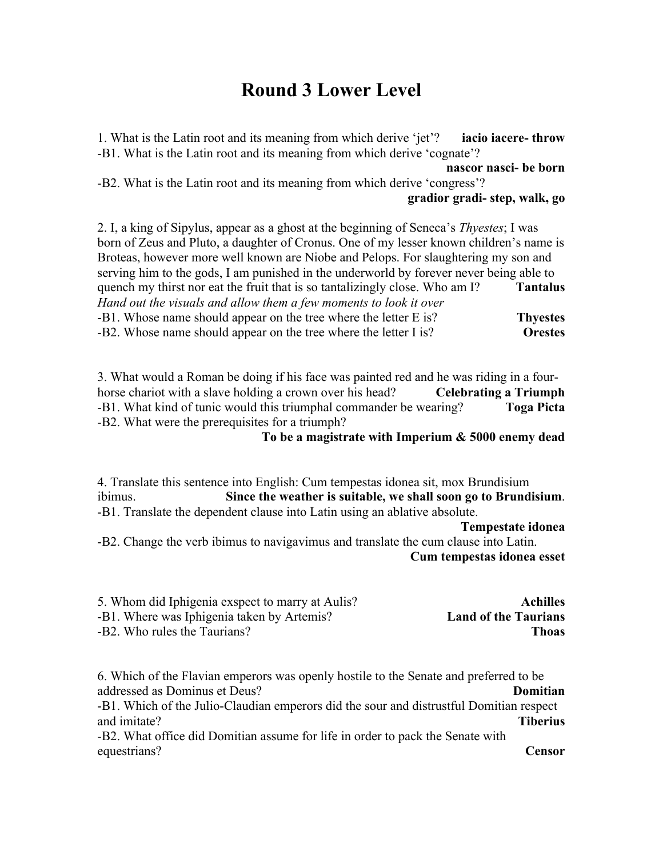## **Round 3 Lower Level**

1. What is the Latin root and its meaning from which derive 'jet'? **iacio iacere- throw** -B1. What is the Latin root and its meaning from which derive 'cognate'? **nascor nasci- be born** -B2. What is the Latin root and its meaning from which derive 'congress'? **gradior gradi- step, walk, go** 2. I, a king of Sipylus, appear as a ghost at the beginning of Seneca's *Thyestes*; I was born of Zeus and Pluto, a daughter of Cronus. One of my lesser known children's name is Broteas, however more well known are Niobe and Pelops. For slaughtering my son and

serving him to the gods, I am punished in the underworld by forever never being able to quench my thirst nor eat the fruit that is so tantalizingly close. Who am I? **Tantalus** *Hand out the visuals and allow them a few moments to look it over* -B1. Whose name should appear on the tree where the letter E is? **Thyestes** -B2. Whose name should appear on the tree where the letter I is? **Orestes**

3. What would a Roman be doing if his face was painted red and he was riding in a fourhorse chariot with a slave holding a crown over his head? **Celebrating a Triumph** -B1. What kind of tunic would this triumphal commander be wearing? **Toga Picta** -B2. What were the prerequisites for a triumph?

**To be a magistrate with Imperium & 5000 enemy dead**

4. Translate this sentence into English: Cum tempestas idonea sit, mox Brundisium ibimus. **Since the weather is suitable, we shall soon go to Brundisium**. -B1. Translate the dependent clause into Latin using an ablative absolute.

**Tempestate idonea**

-B2. Change the verb ibimus to navigavimus and translate the cum clause into Latin. **Cum tempestas idonea esset**

| 5. Whom did Iphigenia exspect to marry at Aulis? | <b>Achilles</b>             |
|--------------------------------------------------|-----------------------------|
| -B1. Where was Iphigenia taken by Artemis?       | <b>Land of the Taurians</b> |
| -B2. Who rules the Taurians?                     | Thoas                       |

6. Which of the Flavian emperors was openly hostile to the Senate and preferred to be addressed as Dominus et Deus? **Domitian** -B1. Which of the Julio-Claudian emperors did the sour and distrustful Domitian respect and imitate? **Tiberius**

-B2. What office did Domitian assume for life in order to pack the Senate with equestrians? **Censor**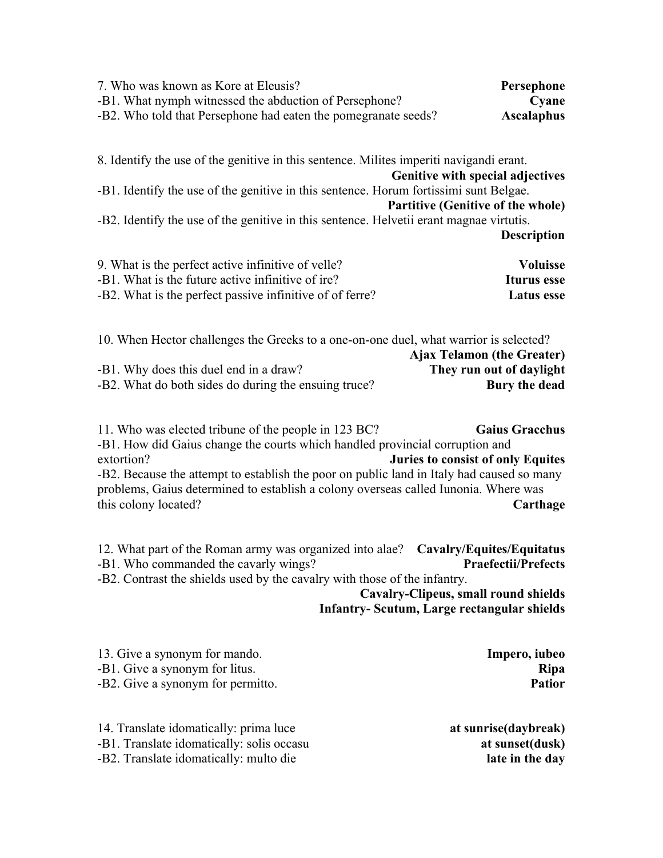| 7. Who was known as Kore at Eleusis?                           | Persephone        |
|----------------------------------------------------------------|-------------------|
| -B1. What nymph witnessed the abduction of Persephone?         | Cyane             |
| -B2. Who told that Persephone had eaten the pomegranate seeds? | <b>Ascalaphus</b> |

8. Identify the use of the genitive in this sentence. Milites imperiti navigandi erant. **Genitive with special adjectives** -B1. Identify the use of the genitive in this sentence. Horum fortissimi sunt Belgae. **Partitive (Genitive of the whole)** -B2. Identify the use of the genitive in this sentence. Helvetii erant magnae virtutis. **Description**

| 9. What is the perfect active infinitive of velle?       | <b>Voluisse</b> |
|----------------------------------------------------------|-----------------|
| -B1. What is the future active infinitive of ire?        | Iturus esse     |
| -B2. What is the perfect passive infinitive of of ferre? | Latus esse      |

| 10. When Hector challenges the Greeks to a one-on-one duel, what warrior is selected? |               |
|---------------------------------------------------------------------------------------|---------------|
| <b>Ajax Telamon (the Greater)</b>                                                     |               |
| -B1. Why does this duel end in a draw?<br>They run out of daylight                    |               |
| -B2. What do both sides do during the ensuing truce?                                  | Bury the dead |

11. Who was elected tribune of the people in 123 BC? **Gaius Gracchus** -B1. How did Gaius change the courts which handled provincial corruption and extortion? **Juries to consist of only Equites** -B2. Because the attempt to establish the poor on public land in Italy had caused so many problems, Gaius determined to establish a colony overseas called Iunonia. Where was this colony located? **Carthage**

12. What part of the Roman army was organized into alae? **Cavalry/Equites/Equitatus** -B1. Who commanded the cavarly wings? **Praefectii/Prefects** -B2. Contrast the shields used by the cavalry with those of the infantry.

**Cavalry-Clipeus, small round shields Infantry- Scutum, Large rectangular shields**

| 13. Give a synonym for mando.     | Impero, iubeo |
|-----------------------------------|---------------|
| -B1. Give a synonym for litus.    | <b>Ripa</b>   |
| -B2. Give a synonym for permitto. | Patior        |

| 14. Translate idomatically: prima luce    |
|-------------------------------------------|
| -B1. Translate idomatically: solis occasu |
| -B2. Translate idomatically: multo die    |

14. Translate idomatically: prima luce **at sunrise(daybreak)**  $at$  sunset(dusk) late in the day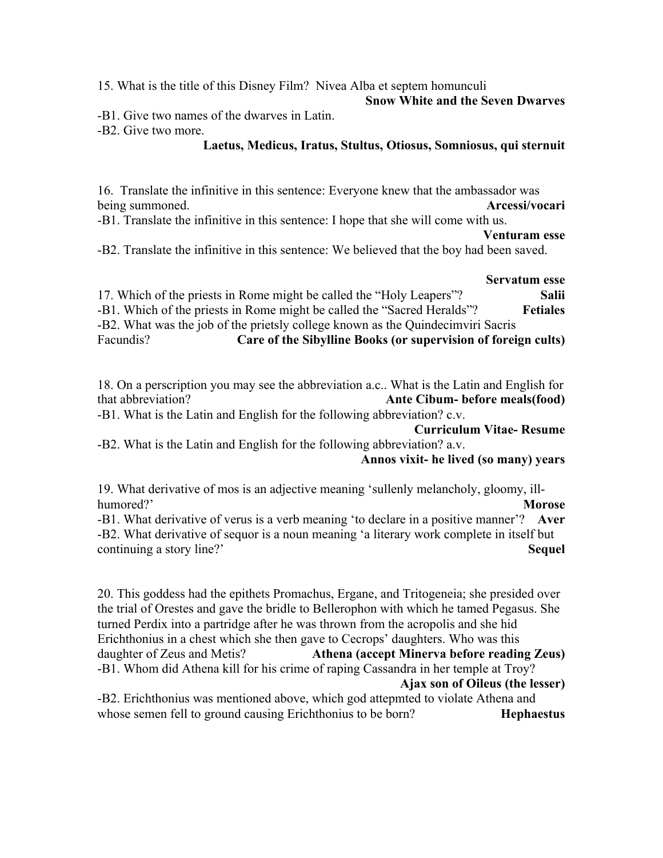15. What is the title of this Disney Film? Nivea Alba et septem homunculi

#### **Snow White and the Seven Dwarves**

-B1. Give two names of the dwarves in Latin.

-B2. Give two more.

### **Laetus, Medicus, Iratus, Stultus, Otiosus, Somniosus, qui sternuit**

16. Translate the infinitive in this sentence: Everyone knew that the ambassador was being summoned. **Arcessi/vocari**

-B1. Translate the infinitive in this sentence: I hope that she will come with us.

#### **Venturam esse**

-B2. Translate the infinitive in this sentence: We believed that the boy had been saved.

### **Servatum esse**

17. Which of the priests in Rome might be called the "Holy Leapers"? **Salii** -B1. Which of the priests in Rome might be called the "Sacred Heralds"? **Fetiales** -B2. What was the job of the prietsly college known as the Quindecimviri Sacris Facundis? **Care of the Sibylline Books (or supervision of foreign cults)**

18. On a perscription you may see the abbreviation a.c.. What is the Latin and English for that abbreviation? **Ante Cibum- before meals(food)**

-B1. What is the Latin and English for the following abbreviation? c.v.

**Curriculum Vitae- Resume**

-B2. What is the Latin and English for the following abbreviation? a.v. **Annos vixit- he lived (so many) years**

19. What derivative of mos is an adjective meaning 'sullenly melancholy, gloomy, illhumored?' **Morose**

-B1. What derivative of verus is a verb meaning 'to declare in a positive manner'? **Aver** -B2. What derivative of sequor is a noun meaning 'a literary work complete in itself but continuing a story line?' **Sequel**

20. This goddess had the epithets Promachus, Ergane, and Tritogeneia; she presided over the trial of Orestes and gave the bridle to Bellerophon with which he tamed Pegasus. She turned Perdix into a partridge after he was thrown from the acropolis and she hid Erichthonius in a chest which she then gave to Cecrops' daughters. Who was this daughter of Zeus and Metis? **Athena (accept Minerva before reading Zeus)** -B1. Whom did Athena kill for his crime of raping Cassandra in her temple at Troy? **Ajax son of Oileus (the lesser)**

-B2. Erichthonius was mentioned above, which god attepmted to violate Athena and whose semen fell to ground causing Erichthonius to be born? **Hephaestus**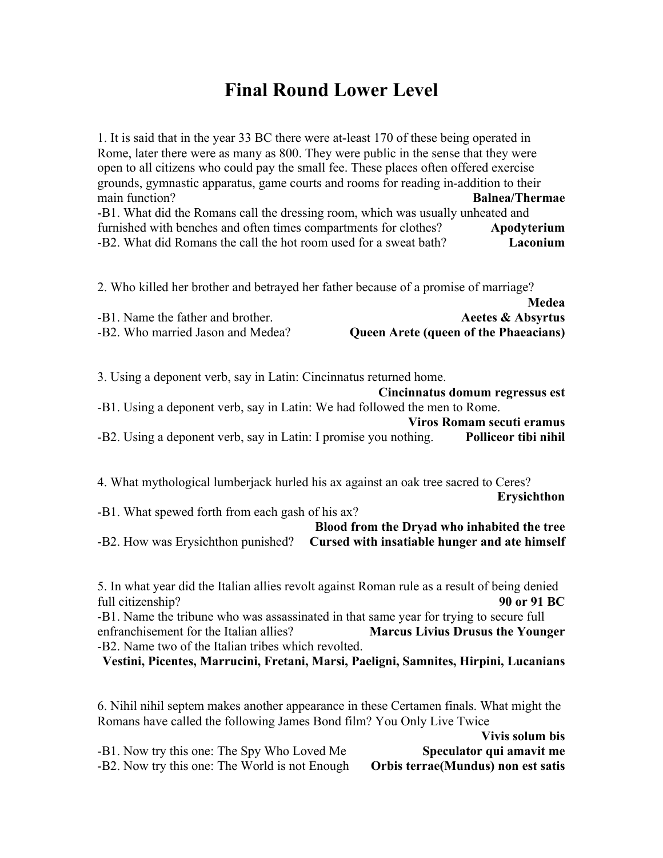## **Final Round Lower Level**

1. It is said that in the year 33 BC there were at-least 170 of these being operated in Rome, later there were as many as 800. They were public in the sense that they were open to all citizens who could pay the small fee. These places often offered exercise grounds, gymnastic apparatus, game courts and rooms for reading in-addition to their main function? **Balnea/Thermae** -B1. What did the Romans call the dressing room, which was usually unheated and furnished with benches and often times compartments for clothes? **Apodyterium** -B2. What did Romans the call the hot room used for a sweat bath? **Laconium**

2. Who killed her brother and betrayed her father because of a promise of marriage?

|                                   | <b>Neuea</b>                                 |
|-----------------------------------|----------------------------------------------|
| -B1. Name the father and brother. | Aeetes & Absyrtus                            |
| -B2. Who married Jason and Medea? | <b>Queen Arete (queen of the Phaeacians)</b> |

**Medea**

3. Using a deponent verb, say in Latin: Cincinnatus returned home.

|                                                                            | Cincinnatus domum regressus est |
|----------------------------------------------------------------------------|---------------------------------|
| -B1. Using a deponent verb, say in Latin: We had followed the men to Rome. |                                 |
|                                                                            | Viros Romam secuti eramus       |
| -B2. Using a deponent verb, say in Latin: I promise you nothing.           | Polliceor tibi nihil            |

4. What mythological lumberjack hurled his ax against an oak tree sacred to Ceres?

**Erysichthon** -B1. What spewed forth from each gash of his ax? **Blood from the Dryad who inhabited the tree**

-B2. How was Erysichthon punished? **Cursed with insatiable hunger and ate himself**

5. In what year did the Italian allies revolt against Roman rule as a result of being denied full citizenship? **90 or 91 BC**

-B1. Name the tribune who was assassinated in that same year for trying to secure full enfranchisement for the Italian allies? **Marcus Livius Drusus the Younger** -B2. Name two of the Italian tribes which revolted.

**Vestini, Picentes, Marrucini, Fretani, Marsi, Paeligni, Samnites, Hirpini, Lucanians**

6. Nihil nihil septem makes another appearance in these Certamen finals. What might the Romans have called the following James Bond film? You Only Live Twice

**Vivis solum bis** -B1. Now try this one: The Spy Who Loved Me **Speculator qui amavit me** -B2. Now try this one: The World is not Enough **Orbis terrae(Mundus) non est satis**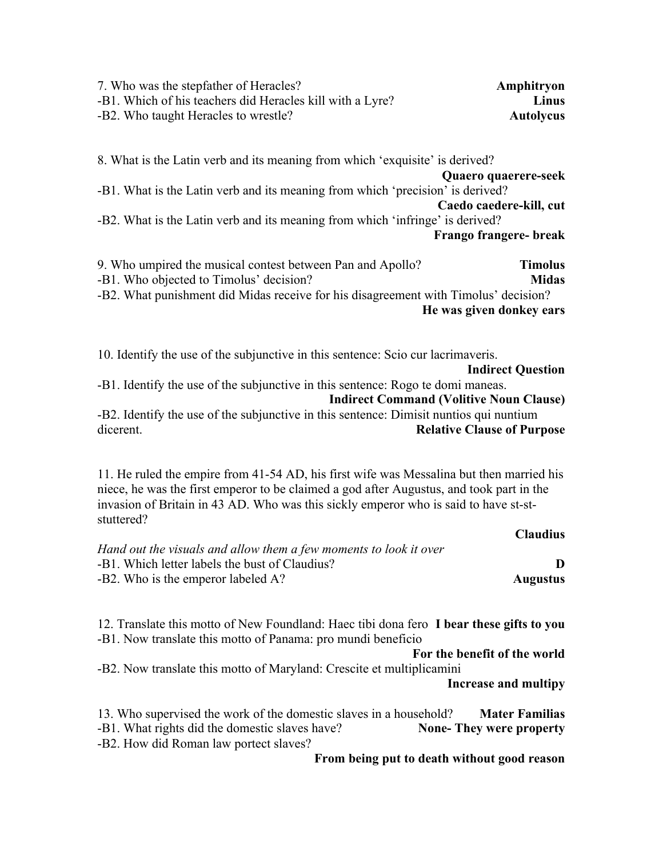| 7. Who was the stepfather of Heracles?                    | Amphitryon       |
|-----------------------------------------------------------|------------------|
| -B1. Which of his teachers did Heracles kill with a Lyre? | Linus            |
| -B2. Who taught Heracles to wrestle?                      | <b>Autolycus</b> |

8. What is the Latin verb and its meaning from which 'exquisite' is derived? **Quaero quaerere-seek** -B1. What is the Latin verb and its meaning from which 'precision' is derived? **Caedo caedere-kill, cut** -B2. What is the Latin verb and its meaning from which 'infringe' is derived? **Frango frangere- break**

| 9. Who umpired the musical contest between Pan and Apollo?                          | <b>Timolus</b> |
|-------------------------------------------------------------------------------------|----------------|
| -B1. Who objected to Timolus' decision?                                             | <b>Midas</b>   |
| -B2. What punishment did Midas receive for his disagreement with Timolus' decision? |                |
| He was given donkey ears                                                            |                |

10. Identify the use of the subjunctive in this sentence: Scio cur lacrimaveris. **Indirect Question** -B1. Identify the use of the subjunctive in this sentence: Rogo te domi maneas. **Indirect Command (Volitive Noun Clause)** -B2. Identify the use of the subjunctive in this sentence: Dimisit nuntios qui nuntium

dicerent. **Relative Clause of Purpose**

11. He ruled the empire from 41-54 AD, his first wife was Messalina but then married his niece, he was the first emperor to be claimed a god after Augustus, and took part in the invasion of Britain in 43 AD. Who was this sickly emperor who is said to have st-ststuttered?

|                                                                   | <b>Claudius</b> |
|-------------------------------------------------------------------|-----------------|
| Hand out the visuals and allow them a few moments to look it over |                 |
| -B1. Which letter labels the bust of Claudius?                    |                 |
| -B2. Who is the emperor labeled A?                                | <b>Augustus</b> |

12. Translate this motto of New Foundland: Haec tibi dona fero **I bear these gifts to you** -B1. Now translate this motto of Panama: pro mundi beneficio

**For the benefit of the world** -B2. Now translate this motto of Maryland: Crescite et multiplicamini

**Increase and multipy**

**Claudius**

13. Who supervised the work of the domestic slaves in a household? **Mater Familias** -B1. What rights did the domestic slaves have? **None- They were property** -B2. How did Roman law portect slaves?

**From being put to death without good reason**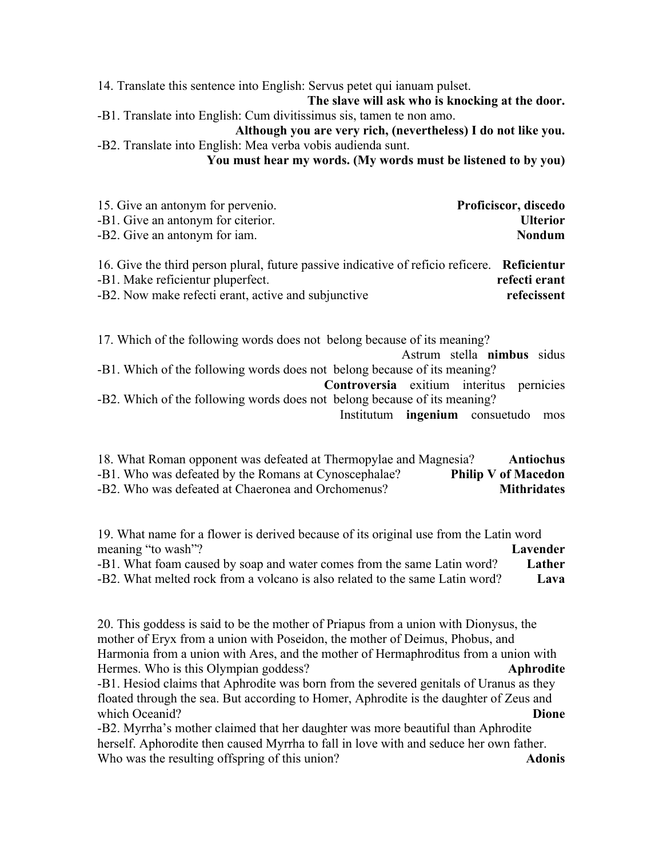14. Translate this sentence into English: Servus petet qui ianuam pulset.

**The slave will ask who is knocking at the door.**

-B1. Translate into English: Cum divitissimus sis, tamen te non amo.

**Although you are very rich, (nevertheless) I do not like you.** -B2. Translate into English: Mea verba vobis audienda sunt.

**You must hear my words. (My words must be listened to by you)**

| 15. Give an antonym for pervenio.  | Proficiscor, discedo |
|------------------------------------|----------------------|
| -B1. Give an antonym for citerior. | <b>Ulterior</b>      |
| -B2. Give an antonym for iam.      | Nondum               |

| 16. Give the third person plural, future passive indicative of reficio reficere. Reficientur |               |
|----------------------------------------------------------------------------------------------|---------------|
| -B1. Make reficientur pluperfect.                                                            | refecti erant |
| -B2. Now make refecti erant, active and subjunctive                                          | refecissent   |

17. Which of the following words does not belong because of its meaning?

Astrum stella **nimbus** sidus -B1. Which of the following words does not belong because of its meaning?

**Controversia** exitium interitus pernicies -B2. Which of the following words does not belong because of its meaning?

Institutum **ingenium** consuetudo mos

| 18. What Roman opponent was defeated at Thermopylae and Magnesia? | Antiochus                  |
|-------------------------------------------------------------------|----------------------------|
| -B1. Who was defeated by the Romans at Cynoscephalae?             | <b>Philip V of Macedon</b> |
| -B2. Who was defeated at Chaeronea and Orchomenus?                | <b>Mithridates</b>         |

19. What name for a flower is derived because of its original use from the Latin word meaning "to wash"? **Lavender**

-B1. What foam caused by soap and water comes from the same Latin word? **Lather** -B2. What melted rock from a volcano is also related to the same Latin word? **Lava**

20. This goddess is said to be the mother of Priapus from a union with Dionysus, the mother of Eryx from a union with Poseidon, the mother of Deimus, Phobus, and Harmonia from a union with Ares, and the mother of Hermaphroditus from a union with Hermes. Who is this Olympian goddess? **Aphrodite** -B1. Hesiod claims that Aphrodite was born from the severed genitals of Uranus as they floated through the sea. But according to Homer, Aphrodite is the daughter of Zeus and which Oceanid? **Dione Dione Dione Dione Dione Dione Dione Dione Dione Dione Dione Dione Dione Dione Dione Dione Dione Dione Dione Dione Dione Dione Dione Dione Dione Dione** 

-B2. Myrrha's mother claimed that her daughter was more beautiful than Aphrodite herself. Aphorodite then caused Myrrha to fall in love with and seduce her own father. Who was the resulting offspring of this union? **Adonis**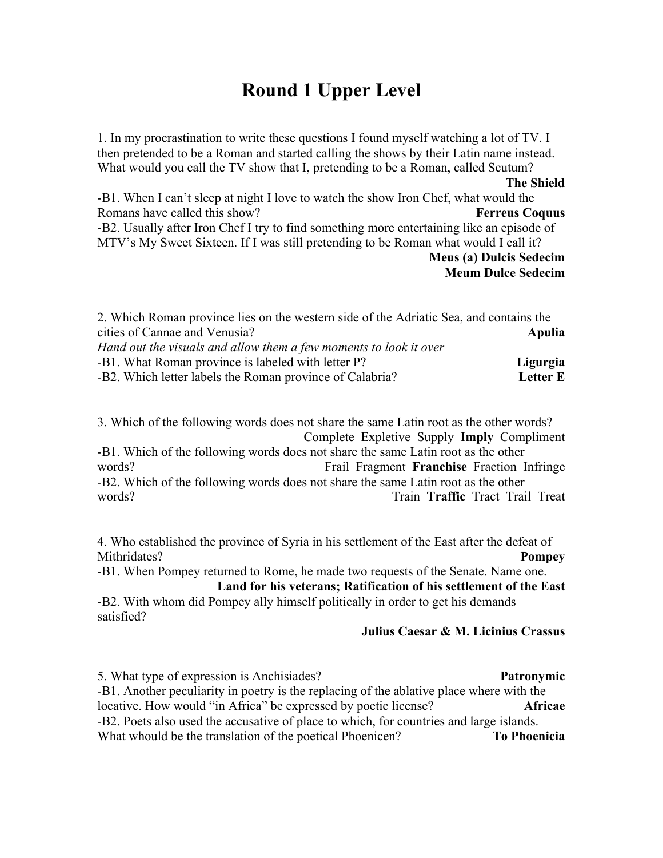## **Round 1 Upper Level**

1. In my procrastination to write these questions I found myself watching a lot of TV. I then pretended to be a Roman and started calling the shows by their Latin name instead. What would you call the TV show that I, pretending to be a Roman, called Scutum? **The Shield** -B1. When I can't sleep at night I love to watch the show Iron Chef, what would the Romans have called this show? **Ferreus Coquus** -B2. Usually after Iron Chef I try to find something more entertaining like an episode of MTV's My Sweet Sixteen. If I was still pretending to be Roman what would I call it? **Meus (a) Dulcis Sedecim Meum Dulce Sedecim**

| 2. Which Roman province lies on the western side of the Adriatic Sea, and contains the |                 |
|----------------------------------------------------------------------------------------|-----------------|
| cities of Cannae and Venusia?                                                          | Apulia          |
| Hand out the visuals and allow them a few moments to look it over                      |                 |
| -B1. What Roman province is labeled with letter P?                                     | Ligurgia        |
| -B2. Which letter labels the Roman province of Calabria?                               | <b>Letter E</b> |

3. Which of the following words does not share the same Latin root as the other words? Complete Expletive Supply **Imply** Compliment

-B1. Which of the following words does not share the same Latin root as the other words? Frail Fragment **Franchise** Fraction Infringe -B2. Which of the following words does not share the same Latin root as the other words? Train **Traffic** Tract Trail Treat

4. Who established the province of Syria in his settlement of the East after the defeat of Mithridates? **Pompey**

-B1. When Pompey returned to Rome, he made two requests of the Senate. Name one. **Land for his veterans; Ratification of his settlement of the East**

-B2. With whom did Pompey ally himself politically in order to get his demands satisfied?

#### **Julius Caesar & M. Licinius Crassus**

5. What type of expression is Anchisiades? **Patronymic** -B1. Another peculiarity in poetry is the replacing of the ablative place where with the locative. How would "in Africa" be expressed by poetic license? **Africae** -B2. Poets also used the accusative of place to which, for countries and large islands. What whould be the translation of the poetical Phoenicen? **To Phoenicia**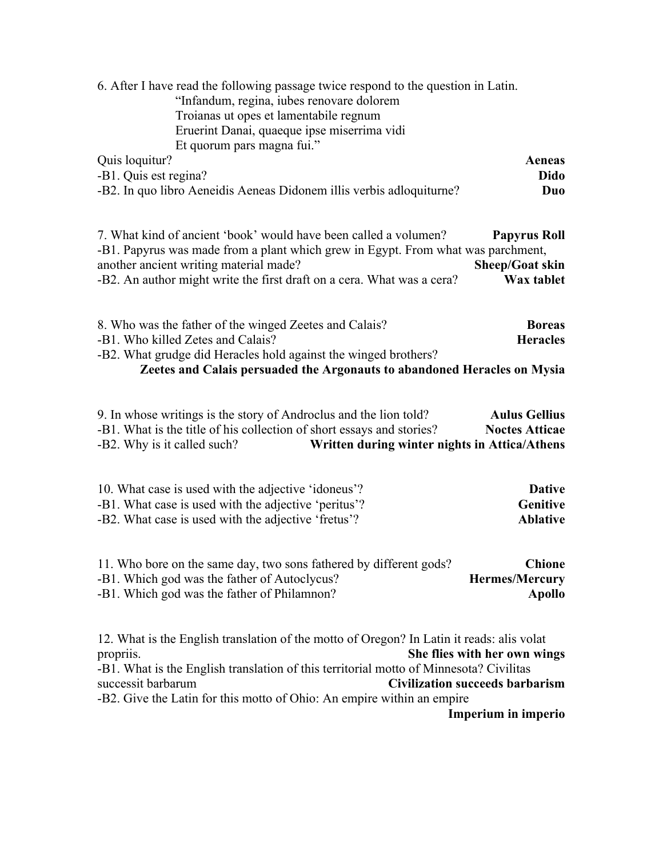| 6. After I have read the following passage twice respond to the question in Latin.<br>"Infandum, regina, iubes renovare dolorem<br>Troianas ut opes et lamentabile regnum<br>Eruerint Danai, quaeque ipse miserrima vidi<br>Et quorum pars magna fui."                                                                                                                                            |  |
|---------------------------------------------------------------------------------------------------------------------------------------------------------------------------------------------------------------------------------------------------------------------------------------------------------------------------------------------------------------------------------------------------|--|
| Quis loquitur?<br>Aeneas<br>-B1. Quis est regina?<br>Dido<br>-B2. In quo libro Aeneidis Aeneas Didonem illis verbis adloquiturne?<br>Duo                                                                                                                                                                                                                                                          |  |
| 7. What kind of ancient 'book' would have been called a volumen?<br><b>Papyrus Roll</b><br>-B1. Papyrus was made from a plant which grew in Egypt. From what was parchment,<br>another ancient writing material made?<br>Sheep/Goat skin<br>-B2. An author might write the first draft on a cera. What was a cera?<br>Wax tablet                                                                  |  |
| 8. Who was the father of the winged Zeetes and Calais?<br><b>Boreas</b><br>-B1. Who killed Zetes and Calais?<br><b>Heracles</b><br>-B2. What grudge did Heracles hold against the winged brothers?<br>Zeetes and Calais persuaded the Argonauts to abandoned Heracles on Mysia                                                                                                                    |  |
| 9. In whose writings is the story of Androclus and the lion told?<br><b>Aulus Gellius</b><br>-B1. What is the title of his collection of short essays and stories?<br><b>Noctes Atticae</b><br>-B2. Why is it called such?<br>Written during winter nights in Attica/Athens                                                                                                                       |  |
| 10. What case is used with the adjective 'idoneus'?<br><b>Dative</b><br>-B1. What case is used with the adjective 'peritus'?<br>Genitive<br>-B2. What case is used with the adjective 'fretus'?<br><b>Ablative</b>                                                                                                                                                                                |  |
| 11. Who bore on the same day, two sons fathered by different gods?<br><b>Chione</b><br>-B1. Which god was the father of Autoclycus?<br><b>Hermes/Mercury</b><br>-B1. Which god was the father of Philamnon?<br><b>Apollo</b>                                                                                                                                                                      |  |
| 12. What is the English translation of the motto of Oregon? In Latin it reads: alis volat<br>She flies with her own wings<br>propriis.<br>-B1. What is the English translation of this territorial motto of Minnesota? Civilitas<br>successit barbarum<br><b>Civilization succeeds barbarism</b><br>-B2. Give the Latin for this motto of Ohio: An empire within an empire<br>Imperium in imperio |  |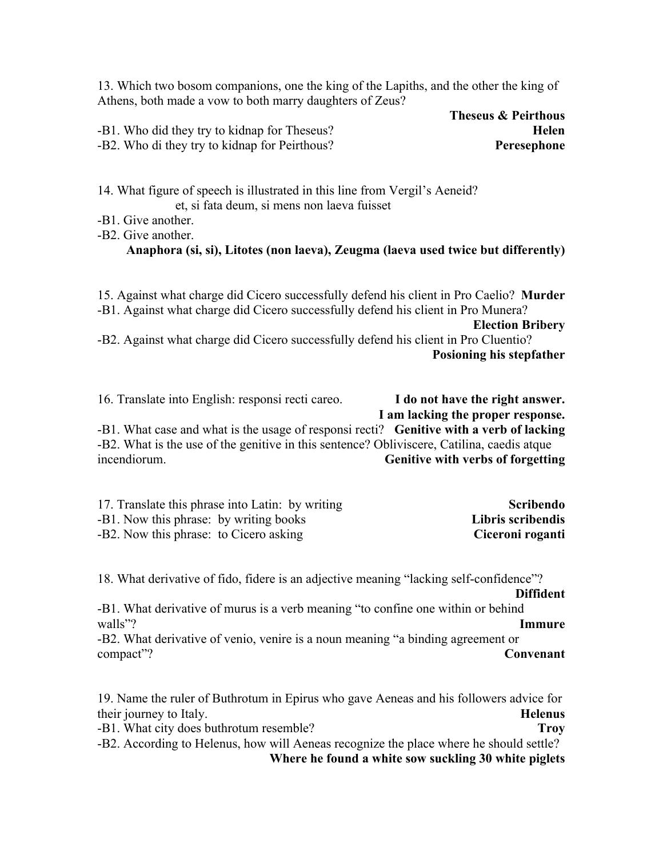13. Which two bosom companions, one the king of the Lapiths, and the other the king of Athens, both made a vow to both marry daughters of Zeus?

| -B1. Who did they try to kidnap for Theseus?  | Helen       |
|-----------------------------------------------|-------------|
| -B2. Who di they try to kidnap for Peirthous? | Peresephone |

**Theseus & Peirthous**  $Peresephone$ 

14. What figure of speech is illustrated in this line from Vergil's Aeneid? et, si fata deum, si mens non laeva fuisset

- -B1. Give another.
- -B2. Give another.

### **Anaphora (si, si), Litotes (non laeva), Zeugma (laeva used twice but differently)**

15. Against what charge did Cicero successfully defend his client in Pro Caelio? **Murder** -B1. Against what charge did Cicero successfully defend his client in Pro Munera? **Election Bribery** -B2. Against what charge did Cicero successfully defend his client in Pro Cluentio? **Posioning his stepfather**

16. Translate into English: responsi recti careo. **I do not have the right answer. I am lacking the proper response.** -B1. What case and what is the usage of responsi recti? **Genitive with a verb of lacking** -B2. What is the use of the genitive in this sentence? Obliviscere, Catilina, caedis atque incendiorum. **Genitive with verbs of forgetting**

| 17. Translate this phrase into Latin: by writing | Scribendo         |
|--------------------------------------------------|-------------------|
| -B1. Now this phrase: by writing books           | Libris scribendis |
| -B2. Now this phrase: to Cicero asking           | Ciceroni roganti  |

18. What derivative of fido, fidere is an adjective meaning "lacking self-confidence"?

**Diffident** -B1. What derivative of murus is a verb meaning "to confine one within or behind walls"? **Immure**

-B2. What derivative of venio, venire is a noun meaning "a binding agreement or compact"? **Convenant**

19. Name the ruler of Buthrotum in Epirus who gave Aeneas and his followers advice for their journey to Italy. **Helenus**

-B1. What city does buthrotum resemble? **Troy** -B2. According to Helenus, how will Aeneas recognize the place where he should settle?

**Where he found a white sow suckling 30 white piglets**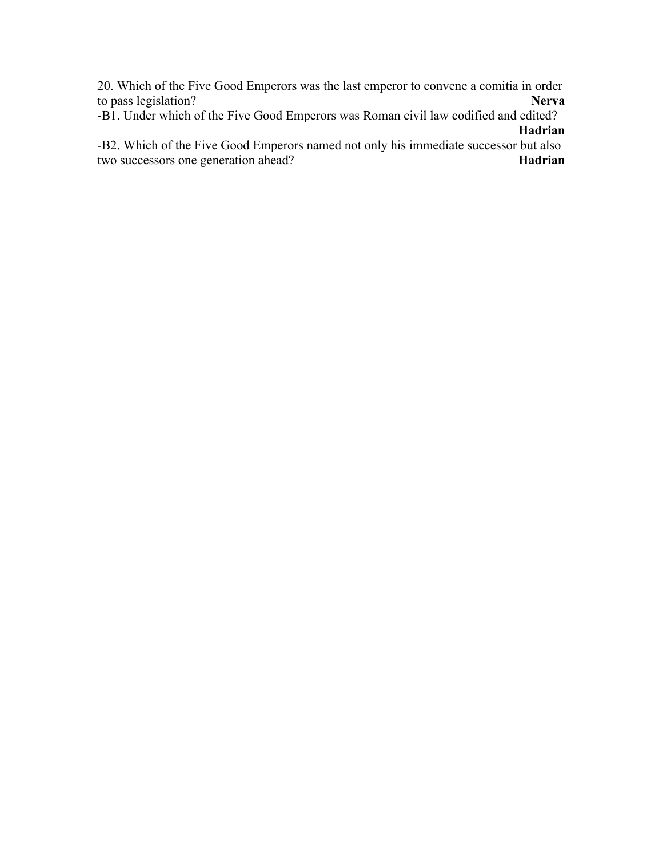20. Which of the Five Good Emperors was the last emperor to convene a comitia in order to pass legislation? to pass legislation?

-B1. Under which of the Five Good Emperors was Roman civil law codified and edited? **Hadrian**

-B2. Which of the Five Good Emperors named not only his immediate successor but also two successors one generation ahead? **Hadrian**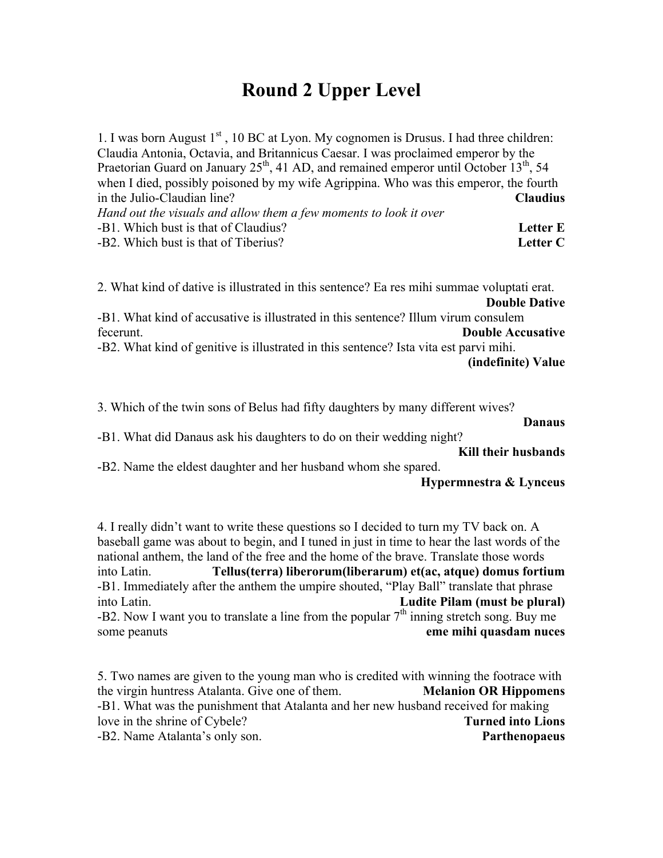## **Round 2 Upper Level**

1. I was born August  $1<sup>st</sup>$ , 10 BC at Lyon. My cognomen is Drusus. I had three children: Claudia Antonia, Octavia, and Britannicus Caesar. I was proclaimed emperor by the Praetorian Guard on January  $25<sup>th</sup>$ , 41 AD, and remained emperor until October  $13<sup>th</sup>$ , 54 when I died, possibly poisoned by my wife Agrippina. Who was this emperor, the fourth in the Julio-Claudian line? **Claudius** *Hand out the visuals and allow them a few moments to look it over* -B1. Which bust is that of Claudius? **Letter E** -B2. Which bust is that of Tiberius? **Letter C**

2. What kind of dative is illustrated in this sentence? Ea res mihi summae voluptati erat. **Double Dative**

-B1. What kind of accusative is illustrated in this sentence? Illum virum consulem fecerunt. **Double Accusative**

-B2. What kind of genitive is illustrated in this sentence? Ista vita est parvi mihi. **(indefinite) Value**

3. Which of the twin sons of Belus had fifty daughters by many different wives?

**Danaus**

-B1. What did Danaus ask his daughters to do on their wedding night?

**Kill their husbands**

-B2. Name the eldest daughter and her husband whom she spared.

```
Hypermnestra & Lynceus
```
4. I really didn't want to write these questions so I decided to turn my TV back on. A baseball game was about to begin, and I tuned in just in time to hear the last words of the national anthem, the land of the free and the home of the brave. Translate those words into Latin. **Tellus(terra) liberorum(liberarum) et(ac, atque) domus fortium** -B1. Immediately after the anthem the umpire shouted, "Play Ball" translate that phrase into Latin. **Ludite Pilam (must be plural)** -B2. Now I want you to translate a line from the popular  $7<sup>th</sup>$  inning stretch song. Buy me some peanuts **eme mihi quasdam nuces**

5. Two names are given to the young man who is credited with winning the footrace with the virgin huntress Atalanta. Give one of them. **Melanion OR Hippomens** -B1. What was the punishment that Atalanta and her new husband received for making love in the shrine of Cybele? **Turned into Lions** -B2. Name Atalanta's only son. **Parthenopaeus**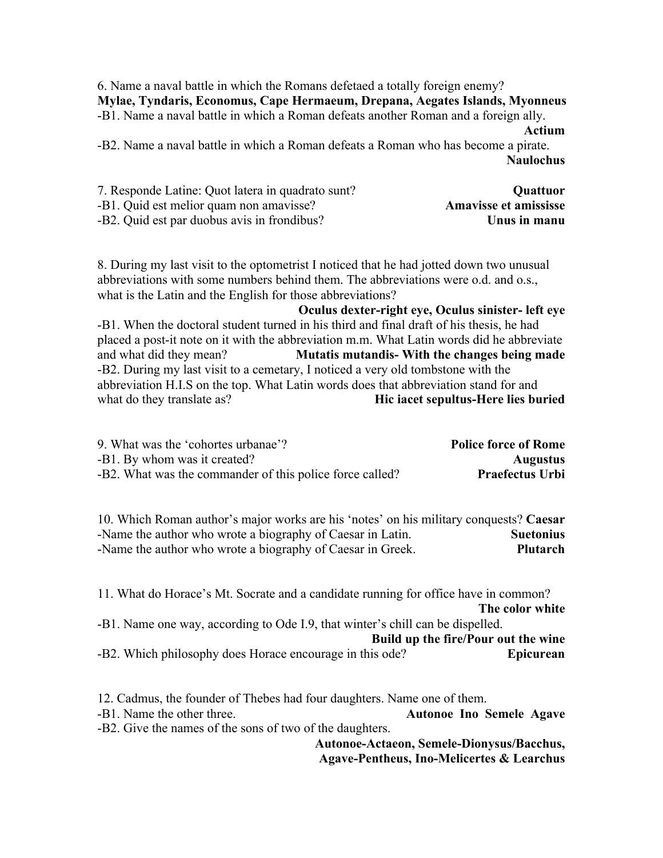6. Name a naval battle in which the Romans defetaed a totally foreign enemy? **Mylae, Tyndaris, Economus, Cape Hermaeum, Drepana, Aegates Islands, Myonneus** -B1. Name a naval battle in which a Roman defeats another Roman and a foreign ally.

#### **Actium**

-B2. Name a naval battle in which a Roman defeats a Roman who has become a pirate. **Naulochus**

| 7. Responde Latine: Quot latera in quadrato sunt? | <b>Ouattuor</b>              |
|---------------------------------------------------|------------------------------|
| -B1. Quid est melior quam non amavisse?           | <b>Amavisse et amississe</b> |
| -B2. Quid est par duobus avis in frondibus?       | Unus in manu                 |

8. During my last visit to the optometrist I noticed that he had jotted down two unusual abbreviations with some numbers behind them. The abbreviations were o.d. and o.s., what is the Latin and the English for those abbreviations?

**Oculus dexter-right eye, Oculus sinister- left eye** -B1. When the doctoral student turned in his third and final draft of his thesis, he had placed a post-it note on it with the abbreviation m.m. What Latin words did he abbreviate and what did they mean? **Mutatis mutandis- With the changes being made** -B2. During my last visit to a cemetary, I noticed a very old tombstone with the abbreviation H.I.S on the top. What Latin words does that abbreviation stand for and what do they translate as? **Hic iacet sepultus-Here lies buried** 

| 9. What was the 'cohortes urbanae'?                      | <b>Police force of Rome</b> |
|----------------------------------------------------------|-----------------------------|
| -B1. By whom was it created?                             | <b>Augustus</b>             |
| -B2. What was the commander of this police force called? | <b>Praefectus Urbi</b>      |

10. Which Roman author's major works are his 'notes' on his military conquests? **Caesar** -Name the author who wrote a biography of Caesar in Latin. **Suetonius** -Name the author who wrote a biography of Caesar in Greek. **Plutarch**

11. What do Horace's Mt. Socrate and a candidate running for office have in common? **The color white** -B1. Name one way, according to Ode I.9, that winter's chill can be dispelled. **Build up the fire/Pour out the wine** -B2. Which philosophy does Horace encourage in this ode? **Epicurean**

12. Cadmus, the founder of Thebes had four daughters. Name one of them.

-B1. Name the other three. **Autonoe Ino Semele Agave** -B2. Give the names of the sons of two of the daughters.

**Autonoe-Actaeon, Semele-Dionysus/Bacchus,** 

**Agave-Pentheus, Ino-Melicertes & Learchus**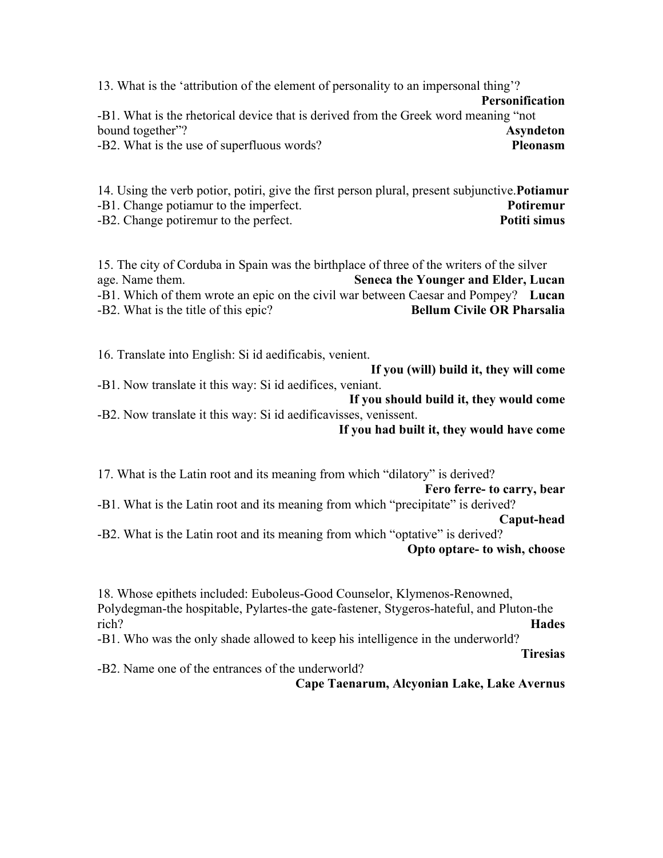13. What is the 'attribution of the element of personality to an impersonal thing'? **Personification** -B1. What is the rhetorical device that is derived from the Greek word meaning "not bound together"? **Asyndeton** -B2. What is the use of superfluous words? **Pleonasm**

14. Using the verb potior, potiri, give the first person plural, present subjunctive.**Potiamur** -B1. Change potiamur to the imperfect. **Potiremur** -B2. Change potiremur to the perfect. **Potiti simus**

15. The city of Corduba in Spain was the birthplace of three of the writers of the silver age. Name them. **Seneca the Younger and Elder, Lucan** -B1. Which of them wrote an epic on the civil war between Caesar and Pompey? **Lucan** -B2. What is the title of this epic? **Bellum Civile OR Pharsalia** 

16. Translate into English: Si id aedificabis, venient. **If you (will) build it, they will come** -B1. Now translate it this way: Si id aedifices, veniant. **If you should build it, they would come**

-B2. Now translate it this way: Si id aedificavisses, venissent. **If you had built it, they would have come**

17. What is the Latin root and its meaning from which "dilatory" is derived? **Fero ferre- to carry, bear** -B1. What is the Latin root and its meaning from which "precipitate" is derived? **Caput-head** -B2. What is the Latin root and its meaning from which "optative" is derived?

**Opto optare- to wish, choose**

18. Whose epithets included: Euboleus-Good Counselor, Klymenos-Renowned, Polydegman-the hospitable, Pylartes-the gate-fastener, Stygeros-hateful, and Pluton-the rich? **Hades** -B1. Who was the only shade allowed to keep his intelligence in the underworld? **Tiresias** -B2. Name one of the entrances of the underworld?

**Cape Taenarum, Alcyonian Lake, Lake Avernus**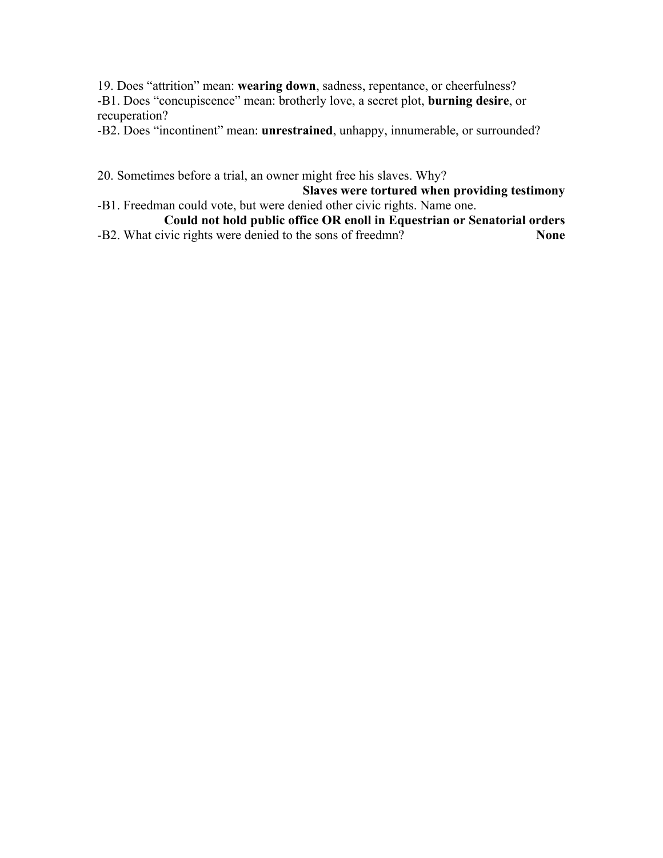19. Does "attrition" mean: **wearing down**, sadness, repentance, or cheerfulness? -B1. Does "concupiscence" mean: brotherly love, a secret plot, **burning desire**, or recuperation?

-B2. Does "incontinent" mean: **unrestrained**, unhappy, innumerable, or surrounded?

20. Sometimes before a trial, an owner might free his slaves. Why?

**Slaves were tortured when providing testimony**

- -B1. Freedman could vote, but were denied other civic rights. Name one. **Could not hold public office OR enoll in Equestrian or Senatorial orders**
- -B2. What civic rights were denied to the sons of freedmn? **None**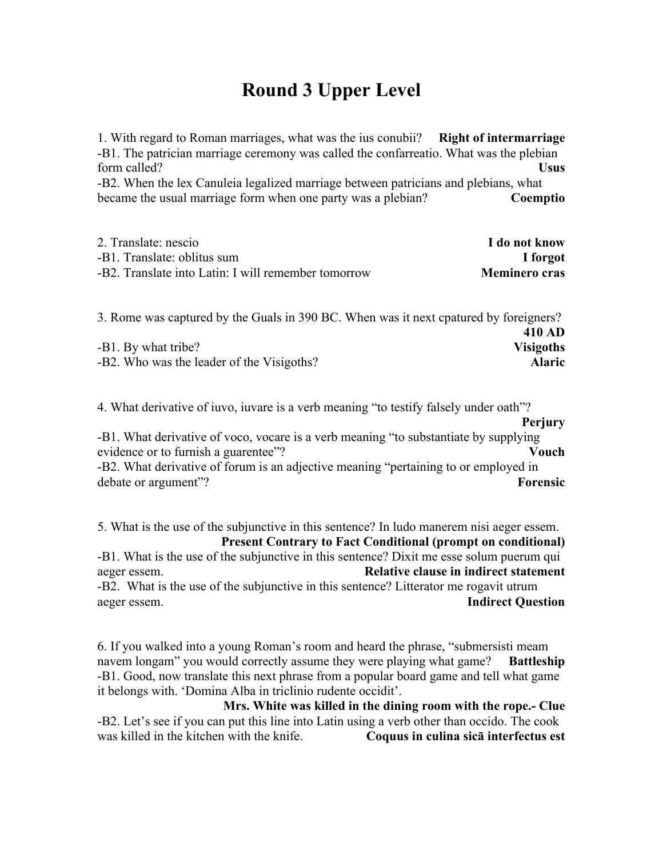## **Round 3 Upper Level**

1. With regard to Roman marriages, what was the ius conubii? **Right of intermarriage** -B1. The patrician marriage ceremony was called the confarreatio. What was the plebian form called? **Usus** -B2. When the lex Canuleia legalized marriage between patricians and plebians, what became the usual marriage form when one party was a plebian? **Coemptio**

| 2. Translate: nescio                                | I do not know        |
|-----------------------------------------------------|----------------------|
| -B1. Translate: oblitus sum                         | I forgot             |
| -B2. Translate into Latin: I will remember tomorrow | <b>Meminero cras</b> |

| 3. Rome was captured by the Guals in 390 BC. When was it next cpatured by foreigners? |                  |
|---------------------------------------------------------------------------------------|------------------|
|                                                                                       | 410 AD           |
| -B1. By what tribe?                                                                   | <b>Visigoths</b> |
| -B2. Who was the leader of the Visigoths?                                             | <b>Alaric</b>    |
|                                                                                       |                  |

4. What derivative of iuvo, iuvare is a verb meaning "to testify falsely under oath"?

**Perjury** -B1. What derivative of voco, vocare is a verb meaning "to substantiate by supplying evidence or to furnish a guarentee"? **Vouch** -B2. What derivative of forum is an adjective meaning "pertaining to or employed in

debate or argument"? **Forensic**

5. What is the use of the subjunctive in this sentence? In ludo manerem nisi aeger essem. **Present Contrary to Fact Conditional (prompt on conditional)** -B1. What is the use of the subjunctive in this sentence? Dixit me esse solum puerum qui

aeger essem. **Relative clause in indirect statement** -B2. What is the use of the subjunctive in this sentence? Litterator me rogavit utrum aeger essem. **Indirect Question**

6. If you walked into a young Roman's room and heard the phrase, "submersisti meam navem longam" you would correctly assume they were playing what game? **Battleship** -B1. Good, now translate this next phrase from a popular board game and tell what game it belongs with. 'Domina Alba in triclinio rudente occidit'.

**Mrs. White was killed in the dining room with the rope.- Clue** -B2. Let's see if you can put this line into Latin using a verb other than occido. The cook was killed in the kitchen with the knife. **Coquus in culina sicā interfectus est**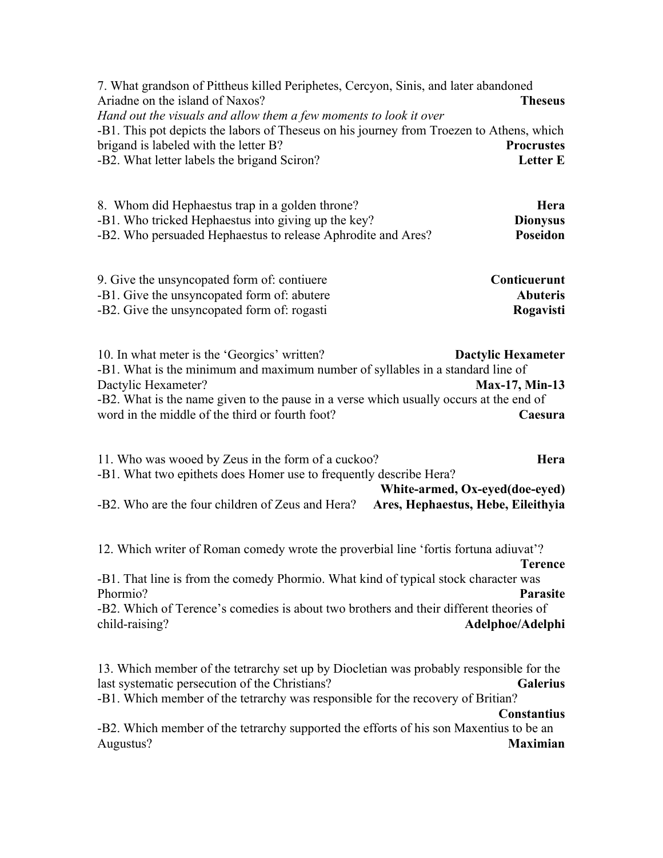| 7. What grandson of Pittheus killed Periphetes, Cercyon, Sinis, and later abandoned<br>Ariadne on the island of Naxos?<br>Hand out the visuals and allow them a few moments to look it over                                                                                                                                         | <b>Theseus</b>                                           |
|-------------------------------------------------------------------------------------------------------------------------------------------------------------------------------------------------------------------------------------------------------------------------------------------------------------------------------------|----------------------------------------------------------|
| -B1. This pot depicts the labors of Theseus on his journey from Troezen to Athens, which<br>brigand is labeled with the letter B?<br>-B2. What letter labels the brigand Sciron?                                                                                                                                                    | <b>Procrustes</b><br><b>Letter E</b>                     |
| 8. Whom did Hephaestus trap in a golden throne?<br>-B1. Who tricked Hephaestus into giving up the key?<br>-B2. Who persuaded Hephaestus to release Aphrodite and Ares?                                                                                                                                                              | Hera<br><b>Dionysus</b><br>Poseidon                      |
| 9. Give the unsyncopated form of: contiuere<br>-B1. Give the unsyncopated form of: abutere<br>-B2. Give the unsyncopated form of: rogasti                                                                                                                                                                                           | Conticuerunt<br><b>Abuteris</b><br>Rogavisti             |
| 10. In what meter is the 'Georgics' written?<br>-B1. What is the minimum and maximum number of syllables in a standard line of<br>Dactylic Hexameter?<br>-B2. What is the name given to the pause in a verse which usually occurs at the end of<br>word in the middle of the third or fourth foot?                                  | <b>Dactylic Hexameter</b><br>Max-17, Min-13<br>Caesura   |
| 11. Who was wooed by Zeus in the form of a cuckoo?<br>-B1. What two epithets does Homer use to frequently describe Hera?<br>White-armed, Ox-eyed(doe-eyed)<br>-B2. Who are the four children of Zeus and Hera?<br>Ares, Hephaestus, Hebe, Eileithyia                                                                                | Hera                                                     |
| 12. Which writer of Roman comedy wrote the proverbial line 'fortis fortuna adiuvat'?<br>-B1. That line is from the comedy Phormio. What kind of typical stock character was<br>Phormio?<br>-B2. Which of Terence's comedies is about two brothers and their different theories of<br>child-raising?                                 | <b>Terence</b><br><b>Parasite</b><br>Adelphoe/Adelphi    |
| 13. Which member of the tetrarchy set up by Diocletian was probably responsible for the<br>last systematic persecution of the Christians?<br>-B1. Which member of the tetrarchy was responsible for the recovery of Britian?<br>-B2. Which member of the tetrarchy supported the efforts of his son Maxentius to be an<br>Augustus? | <b>Galerius</b><br><b>Constantius</b><br><b>Maximian</b> |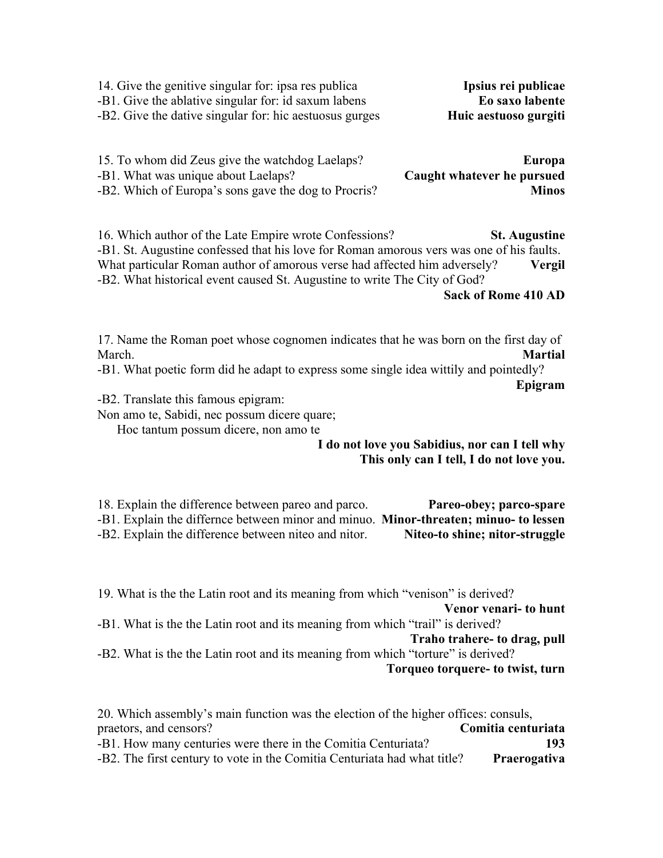| -B1. Give the ablative singular for: id saxum labens<br>-B2. Give the dative singular for: hic aestuosus gurges | Eo saxo labente<br>Huic aestuoso gurgiti |
|-----------------------------------------------------------------------------------------------------------------|------------------------------------------|
| 15. To whom did Zeus give the watchdog Laelaps?                                                                 | Europa                                   |
| -B1. What was unique about Laelaps?                                                                             | Caught whatever he pursued               |
| -B2. Which of Europa's sons gave the dog to Procris?                                                            | <b>Minos</b>                             |

14. Give the genitive singular for: ipsa res publica **Ipsius rei publicae**

16. Which author of the Late Empire wrote Confessions? **St. Augustine** -B1. St. Augustine confessed that his love for Roman amorous vers was one of his faults. What particular Roman author of amorous verse had affected him adversely? **Vergil** -B2. What historical event caused St. Augustine to write The City of God?

**Sack of Rome 410 AD**

17. Name the Roman poet whose cognomen indicates that he was born on the first day of March. **Martial**

-B1. What poetic form did he adapt to express some single idea wittily and pointedly? **Epigram**

-B2. Translate this famous epigram:

Non amo te, Sabidi, nec possum dicere quare;

Hoc tantum possum dicere, non amo te

**I do not love you Sabidius, nor can I tell why This only can I tell, I do not love you.**

18. Explain the difference between pareo and parco. **Pareo-obey; parco-spare** -B1. Explain the differnce between minor and minuo. **Minor-threaten; minuo- to lessen** -B2. Explain the difference between niteo and nitor. **Niteo-to shine; nitor-struggle**

19. What is the the Latin root and its meaning from which "venison" is derived? **Venor venari- to hunt** -B1. What is the the Latin root and its meaning from which "trail" is derived? **Traho trahere- to drag, pull** -B2. What is the the Latin root and its meaning from which "torture" is derived? **Torqueo torquere- to twist, turn**

| 20. Which assembly's main function was the election of the higher offices: consuls, |                    |
|-------------------------------------------------------------------------------------|--------------------|
| praetors, and censors?                                                              | Comitia centuriata |
| -B1. How many centuries were there in the Comitia Centuriata?                       | 193                |
| -B2. The first century to vote in the Comitia Centuriata had what title?            | Praerogativa       |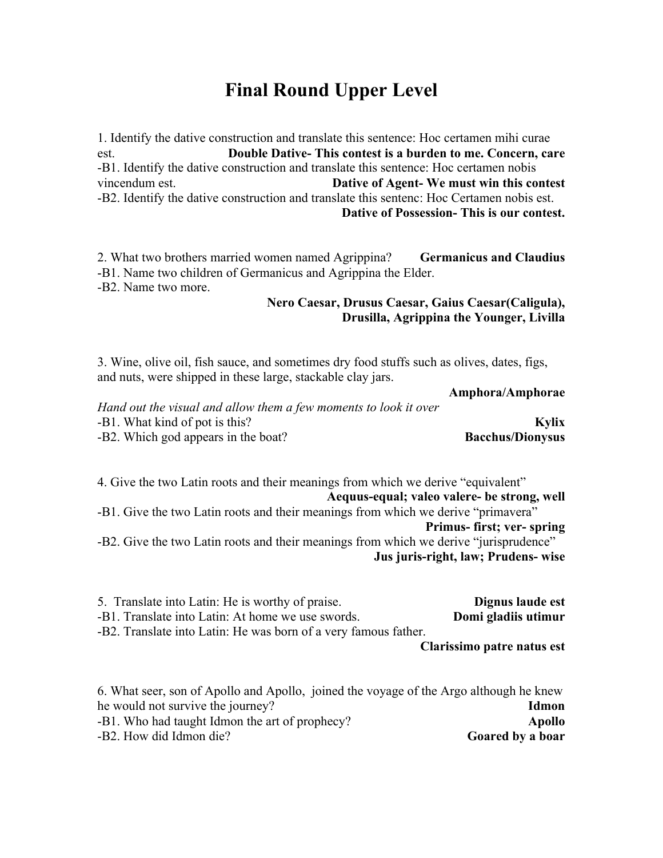## **Final Round Upper Level**

1. Identify the dative construction and translate this sentence: Hoc certamen mihi curae est. **Double Dative- This contest is a burden to me. Concern, care** -B1. Identify the dative construction and translate this sentence: Hoc certamen nobis vincendum est. **Dative of Agent- We must win this contest** -B2. Identify the dative construction and translate this sentenc: Hoc Certamen nobis est. **Dative of Possession- This is our contest.**

2. What two brothers married women named Agrippina? **Germanicus and Claudius** -B1. Name two children of Germanicus and Agrippina the Elder. -B2. Name two more.

#### **Nero Caesar, Drusus Caesar, Gaius Caesar(Caligula), Drusilla, Agrippina the Younger, Livilla**

3. Wine, olive oil, fish sauce, and sometimes dry food stuffs such as olives, dates, figs, and nuts, were shipped in these large, stackable clay jars.

**Amphora/Amphorae**

| Hand out the visual and allow them a few moments to look it over |                         |
|------------------------------------------------------------------|-------------------------|
| -B1. What kind of pot is this?                                   | Kylix                   |
| -B2. Which god appears in the boat?                              | <b>Bacchus/Dionysus</b> |

4. Give the two Latin roots and their meanings from which we derive "equivalent"

**Aequus-equal; valeo valere- be strong, well** -B1. Give the two Latin roots and their meanings from which we derive "primavera" **Primus- first; ver- spring** -B2. Give the two Latin roots and their meanings from which we derive "jurisprudence" **Jus juris-right, law; Prudens- wise**

| 5. Translate into Latin: He is worthy of praise.                | Dignus laude est           |
|-----------------------------------------------------------------|----------------------------|
| -B1. Translate into Latin: At home we use swords.               | Domi gladiis utimur        |
| -B2. Translate into Latin: He was born of a very famous father. |                            |
|                                                                 | Clarissimo patre natus est |
|                                                                 |                            |

6. What seer, son of Apollo and Apollo, joined the voyage of the Argo although he knew he would not survive the journey? **Idmon** -B1. Who had taught Idmon the art of prophecy? **Apollo** -B2. How did Idmon die? **Goared by a boar**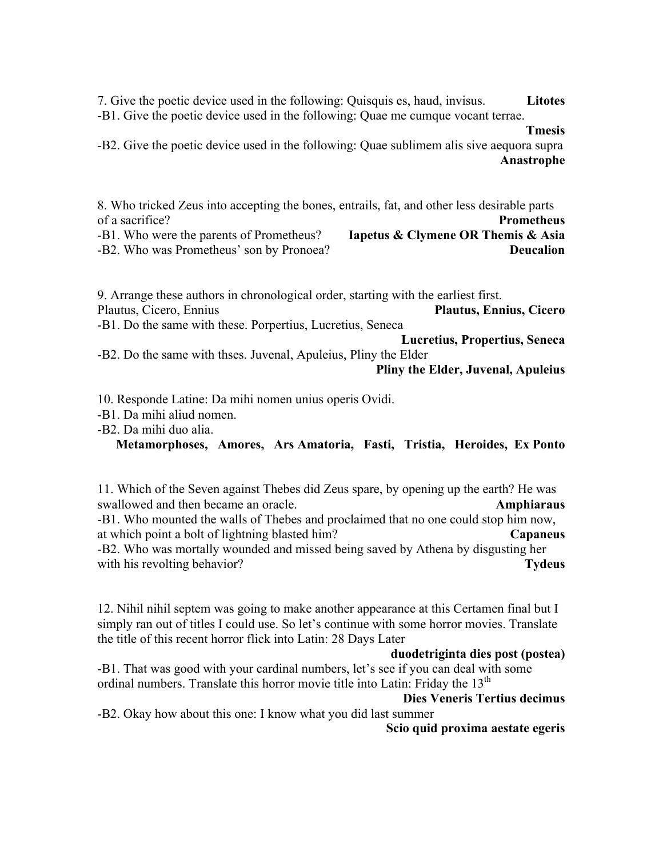7. Give the poetic device used in the following: Quisquis es, haud, invisus. **Litotes** -B1. Give the poetic device used in the following: Quae me cumque vocant terrae.

#### **Tmesis**

-B2. Give the poetic device used in the following: Quae sublimem alis sive aequora supra **Anastrophe**

8. Who tricked Zeus into accepting the bones, entrails, fat, and other less desirable parts of a sacrifice? **Prometheus** -B1. Who were the parents of Prometheus? **Iapetus & Clymene OR Themis & Asia** -B2. Who was Prometheus' son by Pronoea? **Deucalion**

9. Arrange these authors in chronological order, starting with the earliest first. Plautus, Cicero, Ennius **Plautus, Ennius, Cicero** -B1. Do the same with these. Porpertius, Lucretius, Seneca **Lucretius, Propertius, Seneca** -B2. Do the same with thses. Juvenal, Apuleius, Pliny the Elder **Pliny the Elder, Juvenal, Apuleius**

10. Responde Latine: Da mihi nomen unius operis Ovidi.

-B1. Da mihi aliud nomen.

-B2. Da mihi duo alia.

#### **Metamorphoses, Amores, Ars Amatoria, Fasti, Tristia, Heroides, Ex Ponto**

11. Which of the Seven against Thebes did Zeus spare, by opening up the earth? He was swallowed and then became an oracle. **Amphiaraus** -B1. Who mounted the walls of Thebes and proclaimed that no one could stop him now, at which point a bolt of lightning blasted him? **Capaneus** -B2. Who was mortally wounded and missed being saved by Athena by disgusting her

with his revolting behavior? **Tydeus Tydeus** 

12. Nihil nihil septem was going to make another appearance at this Certamen final but I simply ran out of titles I could use. So let's continue with some horror movies. Translate the title of this recent horror flick into Latin: 28 Days Later

#### **duodetriginta dies post (postea)**

-B1. That was good with your cardinal numbers, let's see if you can deal with some ordinal numbers. Translate this horror movie title into Latin: Friday the 13<sup>th</sup>

#### **Dies Veneris Tertius decimus**

-B2. Okay how about this one: I know what you did last summer

**Scio quid proxima aestate egeris**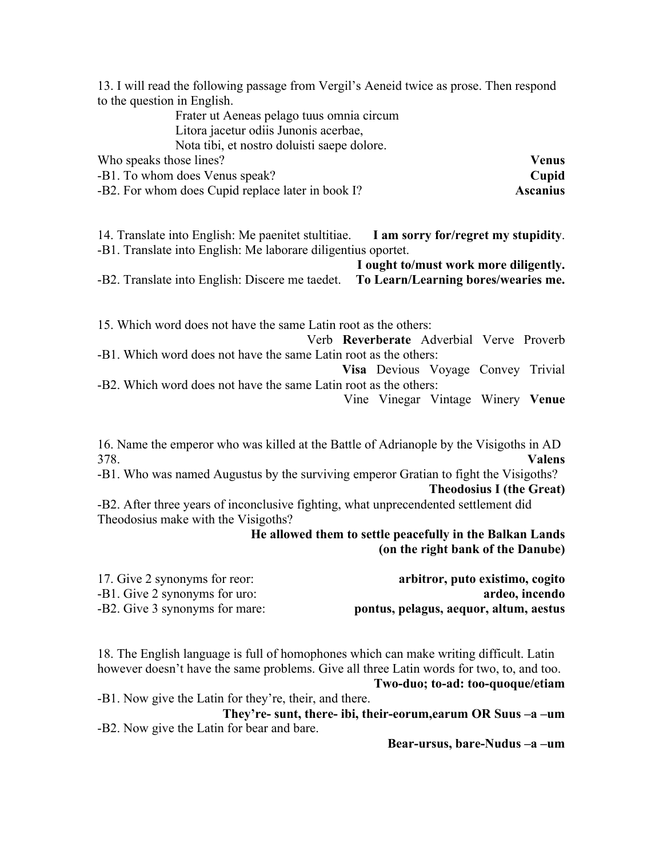13. I will read the following passage from Vergil's Aeneid twice as prose. Then respond to the question in English.

Frater ut Aeneas pelago tuus omnia circum Litora jacetur odiis Junonis acerbae, Nota tibi, et nostro doluisti saepe dolore. Who speaks those lines? **Venus**

-B1. To whom does Venus speak? **Cupid**

-B2. For whom does Cupid replace later in book I? **Ascanius**

14. Translate into English: Me paenitet stultitiae. **I am sorry for/regret my stupidity**. -B1. Translate into English: Me laborare diligentius oportet.

**I ought to/must work more diligently.** -B2. Translate into English: Discere me taedet. **To Learn/Learning bores/wearies me.**

15. Which word does not have the same Latin root as the others:

Verb **Reverberate** Adverbial Verve Proverb -B1. Which word does not have the same Latin root as the others:

**Visa** Devious Voyage Convey Trivial -B2. Which word does not have the same Latin root as the others:

Vine Vinegar Vintage Winery **Venue**

16. Name the emperor who was killed at the Battle of Adrianople by the Visigoths in AD 378. **Valens**

-B1. Who was named Augustus by the surviving emperor Gratian to fight the Visigoths? **Theodosius I (the Great)**

-B2. After three years of inconclusive fighting, what unprecendented settlement did Theodosius make with the Visigoths?

> **He allowed them to settle peacefully in the Balkan Lands (on the right bank of the Danube)**

| 17. Give 2 synonyms for reor:  | arbitror, puto existimo, cogito        |
|--------------------------------|----------------------------------------|
| -B1. Give 2 synonyms for uro:  | ardeo, incendo                         |
| -B2. Give 3 synonyms for mare: | pontus, pelagus, aequor, altum, aestus |

18. The English language is full of homophones which can make writing difficult. Latin however doesn't have the same problems. Give all three Latin words for two, to, and too. **Two-duo; to-ad: too-quoque/etiam**

-B1. Now give the Latin for they're, their, and there.

**They're- sunt, there- ibi, their-eorum,earum OR Suus –a –um**  -B2. Now give the Latin for bear and bare.

**Bear-ursus, bare-Nudus –a –um**